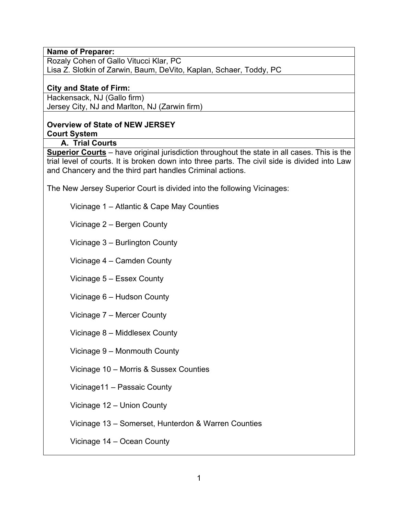### **Name of Preparer:**

Rozaly Cohen of Gallo Vitucci Klar, PC Lisa Z. Slotkin of Zarwin, Baum, DeVito, Kaplan, Schaer, Toddy, PC

## **City and State of Firm:**

Hackensack, NJ (Gallo firm) Jersey City, NJ and Marlton, NJ (Zarwin firm)

#### **Overview of State of NEW JERSEY Court System**

## **A. Trial Courts**

**Superior Courts** – have original jurisdiction throughout the state in all cases. This is the trial level of courts. It is broken down into three parts. The civil side is divided into Law and Chancery and the third part handles Criminal actions.

The New Jersey Superior Court is divided into the following Vicinages:

Vicinage 1 – Atlantic & Cape May Counties

Vicinage 2 – Bergen County

Vicinage 3 – Burlington County

Vicinage 4 – Camden County

Vicinage 5 – Essex County

Vicinage 6 – Hudson County

Vicinage 7 – Mercer County

Vicinage 8 – Middlesex County

Vicinage 9 – Monmouth County

Vicinage 10 – Morris & Sussex Counties

Vicinage11 – Passaic County

Vicinage 12 – Union County

Vicinage 13 – Somerset, Hunterdon & Warren Counties

Vicinage 14 – Ocean County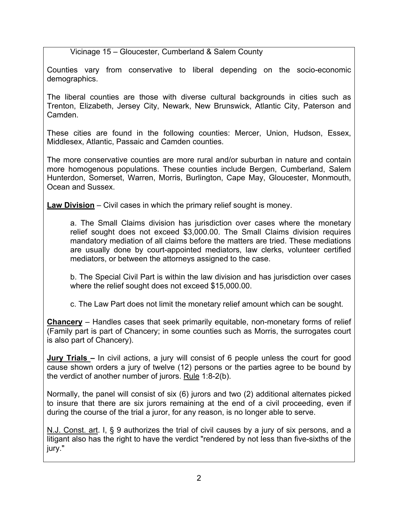Vicinage 15 – Gloucester, Cumberland & Salem County

Counties vary from conservative to liberal depending on the socio-economic demographics.

The liberal counties are those with diverse cultural backgrounds in cities such as Trenton, Elizabeth, Jersey City, Newark, New Brunswick, Atlantic City, Paterson and Camden.

These cities are found in the following counties: Mercer, Union, Hudson, Essex, Middlesex, Atlantic, Passaic and Camden counties.

The more conservative counties are more rural and/or suburban in nature and contain more homogenous populations. These counties include Bergen, Cumberland, Salem Hunterdon, Somerset, Warren, Morris, Burlington, Cape May, Gloucester, Monmouth, Ocean and Sussex.

**Law Division** – Civil cases in which the primary relief sought is money.

a. The Small Claims division has jurisdiction over cases where the monetary relief sought does not exceed \$3,000.00. The Small Claims division requires mandatory mediation of all claims before the matters are tried. These mediations are usually done by court-appointed mediators, law clerks, volunteer certified mediators, or between the attorneys assigned to the case.

b. The Special Civil Part is within the law division and has jurisdiction over cases where the relief sought does not exceed \$15,000.00.

c. The Law Part does not limit the monetary relief amount which can be sought.

**Chancery** – Handles cases that seek primarily equitable, non-monetary forms of relief (Family part is part of Chancery; in some counties such as Morris, the surrogates court is also part of Chancery).

**Jury Trials –** In civil actions, a jury will consist of 6 people unless the court for good cause shown orders a jury of twelve (12) persons or the parties agree to be bound by the verdict of another number of jurors. Rule 1:8-2(b).

Normally, the panel will consist of six (6) jurors and two (2) additional alternates picked to insure that there are six jurors remaining at the end of a civil proceeding, even if during the course of the trial a juror, for any reason, is no longer able to serve.

N.J. Const. art. I, § 9 authorizes the trial of civil causes by a jury of six persons, and a litigant also has the right to have the verdict "rendered by not less than five-sixths of the jury."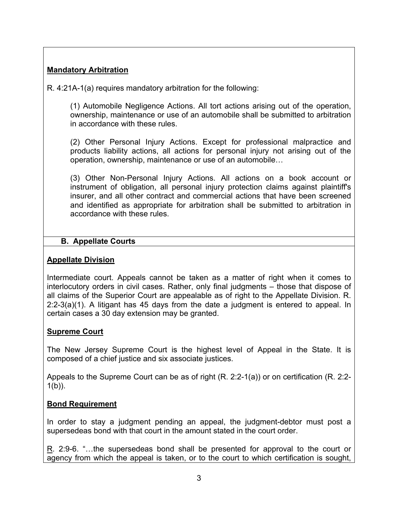## **Mandatory Arbitration**

R. 4:21A-1(a) requires mandatory arbitration for the following:

(1) Automobile Negligence Actions. All tort actions arising out of the operation, ownership, maintenance or use of an automobile shall be submitted to arbitration in accordance with these rules.

(2) Other Personal Injury Actions. Except for professional malpractice and products liability actions, all actions for personal injury not arising out of the operation, ownership, maintenance or use of an automobile…

(3) Other Non-Personal Injury Actions. All actions on a book account or instrument of obligation, all personal injury protection claims against plaintiff's insurer, and all other contract and commercial actions that have been screened and identified as appropriate for arbitration shall be submitted to arbitration in accordance with these rules.

## **B. Appellate Courts**

## **Appellate Division**

Intermediate court. Appeals cannot be taken as a matter of right when it comes to interlocutory orders in civil cases. Rather, only final judgments – those that dispose of all claims of the Superior Court are appealable as of right to the Appellate Division. R. 2:2-3(a)(1). A litigant has 45 days from the date a judgment is entered to appeal. In certain cases a 30 day extension may be granted.

## **Supreme Court**

The New Jersey Supreme Court is the highest level of Appeal in the State. It is composed of a chief justice and six associate justices.

Appeals to the Supreme Court can be as of right (R. 2:2-1(a)) or on certification (R. 2:2-  $1(b)$ ).

## **Bond Requirement**

In order to stay a judgment pending an appeal, the judgment-debtor must post a supersedeas bond with that court in the amount stated in the court order.

R. 2:9-6. "…the supersedeas bond shall be presented for approval to the court or agency from which the appeal is taken, or to the court to which certification is sought,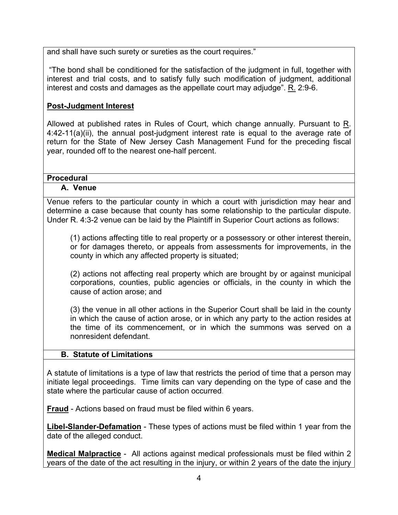and shall have such surety or sureties as the court requires."

 "The bond shall be conditioned for the satisfaction of the judgment in full, together with interest and trial costs, and to satisfy fully such modification of judgment, additional interest and costs and damages as the appellate court may adjudge". R. 2:9-6.

## **Post-Judgment Interest**

Allowed at published rates in Rules of Court, which change annually. Pursuant to R. 4:42-11(a)(ii), the annual post-judgment interest rate is equal to the average rate of return for the State of New Jersey Cash Management Fund for the preceding fiscal year, rounded off to the nearest one-half percent.

#### **Procedural**

#### **A. Venue**

Venue refers to the particular county in which a court with jurisdiction may hear and determine a case because that county has some relationship to the particular dispute. Under R. 4:3-2 venue can be laid by the Plaintiff in Superior Court actions as follows:

(1) actions affecting title to real property or a possessory or other interest therein, or for damages thereto, or appeals from assessments for improvements, in the county in which any affected property is situated;

(2) actions not affecting real property which are brought by or against municipal corporations, counties, public agencies or officials, in the county in which the cause of action arose; and

(3) the venue in all other actions in the Superior Court shall be laid in the county in which the cause of action arose, or in which any party to the action resides at the time of its commencement, or in which the summons was served on a nonresident defendant.

## **B. Statute of Limitations**

A statute of limitations is a type of law that restricts the period of time that a person may initiate legal proceedings. Time limits can vary depending on the type of case and the state where the particular cause of action occurred.

**Fraud** - Actions based on fraud must be filed within 6 years.

**Libel-Slander-Defamation** - These types of actions must be filed within 1 year from the date of the alleged conduct.

**Medical Malpractice** - All actions against medical professionals must be filed within 2 years of the date of the act resulting in the injury, or within 2 years of the date the injury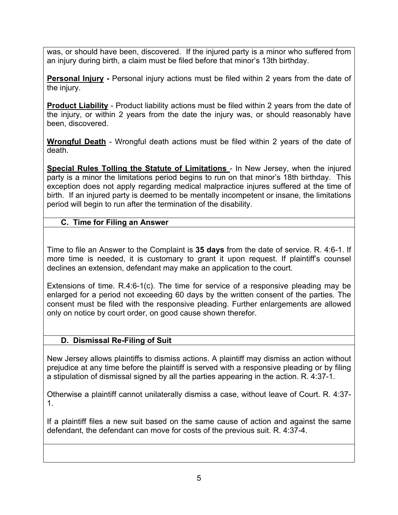was, or should have been, discovered. If the injured party is a minor who suffered from an injury during birth, a claim must be filed before that minor's 13th birthday.

**Personal Injury -** Personal injury actions must be filed within 2 years from the date of the injury.

**Product Liability** - Product liability actions must be filed within 2 years from the date of the injury, or within 2 years from the date the injury was, or should reasonably have been, discovered.

**Wrongful Death** - Wrongful death actions must be filed within 2 years of the date of death.

**Special Rules Tolling the Statute of Limitations** - In New Jersey, when the injured party is a minor the limitations period begins to run on that minor's 18th birthday. This exception does not apply regarding medical malpractice injures suffered at the time of birth. If an injured party is deemed to be mentally incompetent or insane, the limitations period will begin to run after the termination of the disability.

## **C. Time for Filing an Answer**

Time to file an Answer to the Complaint is **35 days** from the date of service. R. 4:6-1. If more time is needed, it is customary to grant it upon request. If plaintiff's counsel declines an extension, defendant may make an application to the court.

Extensions of time. R.4:6-1(c). The time for service of a responsive pleading may be enlarged for a period not exceeding 60 days by the written consent of the parties. The consent must be filed with the responsive pleading. Further enlargements are allowed only on notice by court order, on good cause shown therefor.

## **D. Dismissal Re-Filing of Suit**

New Jersey allows plaintiffs to dismiss actions. A plaintiff may dismiss an action without prejudice at any time before the plaintiff is served with a responsive pleading or by filing a stipulation of dismissal signed by all the parties appearing in the action. R. 4:37-1.

Otherwise a plaintiff cannot unilaterally dismiss a case, without leave of Court. R. 4:37- 1.

If a plaintiff files a new suit based on the same cause of action and against the same defendant, the defendant can move for costs of the previous suit. R. 4:37-4.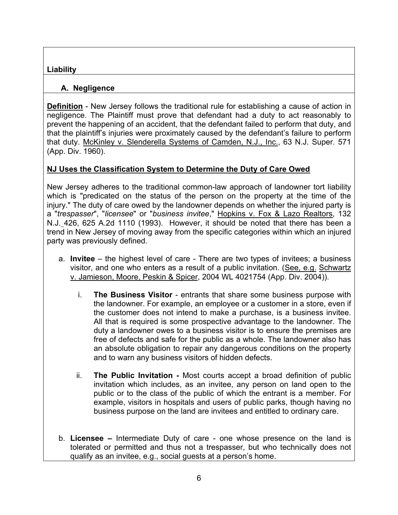## **Liability**

## **A. Negligence**

**Definition** - New Jersey follows the traditional rule for establishing a cause of action in negligence. The Plaintiff must prove that defendant had a duty to act reasonably to prevent the happening of an accident, that the defendant failed to perform that duty, and that the plaintiff's injuries were proximately caused by the defendant's failure to perform that duty. McKinley v. Slenderella Systems of Camden, N.J., Inc., 63 N.J. Super. 571 (App. Div. 1960).

# **NJ Uses the Classification System to Determine the Duty of Care Owed**

New Jersey adheres to the traditional common-law approach of landowner tort liability which is "predicated on the status of the person on the property at the time of the injury." The duty of care owed by the landowner depends on whether the injured party is a "*trespasser*", "*licensee*" or "*business invitee*," Hopkins v. Fox & Lazo Realtors, 132 N.J. 426, 625 A.2d 1110 (1993). However, it should be noted that there has been a trend in New Jersey of moving away from the specific categories within which an injured party was previously defined.

- a. **Invitee** the highest level of care There are two types of invitees; a business visitor, and one who enters as a result of a public invitation. (See, e.g. Schwartz v. Jamieson, Moore, Peskin & Spicer, 2004 WL 4021754 (App. Div. 2004)).
	- i. **The Business Visitor** entrants that share some business purpose with the landowner. For example, an employee or a customer in a store, even if the customer does not intend to make a purchase, is a business invitee. All that is required is some prospective advantage to the landowner. The duty a landowner owes to a business visitor is to ensure the premises are free of defects and safe for the public as a whole. The landowner also has an absolute obligation to repair any dangerous conditions on the property and to warn any business visitors of hidden defects.
	- ii. **The Public Invitation -** Most courts accept a broad definition of public invitation which includes, as an invitee, any person on land open to the public or to the class of the public of which the entrant is a member. For example, visitors in hospitals and users of public parks, though having no business purpose on the land are invitees and entitled to ordinary care.
- b. **Licensee –** Intermediate Duty of care one whose presence on the land is tolerated or permitted and thus not a trespasser, but who technically does not qualify as an invitee, e.g., social guests at a person's home.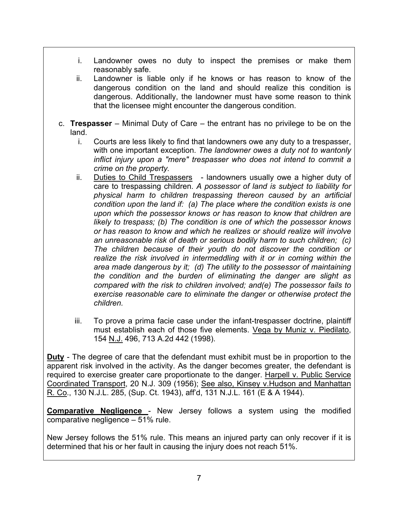- i. Landowner owes no duty to inspect the premises or make them reasonably safe.
- ii. Landowner is liable only if he knows or has reason to know of the dangerous condition on the land and should realize this condition is dangerous. Additionally, the landowner must have some reason to think that the licensee might encounter the dangerous condition.
- c. **Trespasser** Minimal Duty of Care the entrant has no privilege to be on the land.
	- i. Courts are less likely to find that landowners owe any duty to a trespasser, with one important exception. *The landowner owes a duty not to wantonly inflict injury upon a "mere" trespasser who does not intend to commit a crime on the property.*
	- ii. Duties to Child Trespassers landowners usually owe a higher duty of care to trespassing children. *A possessor of land is subject to liability for physical harm to children trespassing thereon caused by an artificial condition upon the land if: (a) The place where the condition exists is one upon which the possessor knows or has reason to know that children are likely to trespass; (b) The condition is one of which the possessor knows or has reason to know and which he realizes or should realize will involve an unreasonable risk of death or serious bodily harm to such children; (c) The children because of their youth do not discover the condition or realize the risk involved in intermeddling with it or in coming within the area made dangerous by it; (d) The utility to the possessor of maintaining the condition and the burden of eliminating the danger are slight as compared with the risk to children involved; and(e) The possessor fails to exercise reasonable care to eliminate the danger or otherwise protect the children.*
	- iii. To prove a prima facie case under the infant-trespasser doctrine, plaintiff must establish each of those five elements. Vega by Muniz v. Piedilato, 154 N.J. 496, 713 A.2d 442 (1998).

**Duty** - The degree of care that the defendant must exhibit must be in proportion to the apparent risk involved in the activity. As the danger becomes greater, the defendant is required to exercise greater care proportionate to the danger. Harpell v. Public Service Coordinated Transport, 20 N.J. 309 (1956); See also, Kinsey v.Hudson and Manhattan R. Co., 130 N.J.L. 285, (Sup. Ct. 1943), aff'd, 131 N.J.L. 161 (E & A 1944).

**Comparative Negligence** - New Jersey follows a system using the modified comparative negligence – 51% rule.

New Jersey follows the 51% rule. This means an injured party can only recover if it is determined that his or her fault in causing the injury does not reach 51%.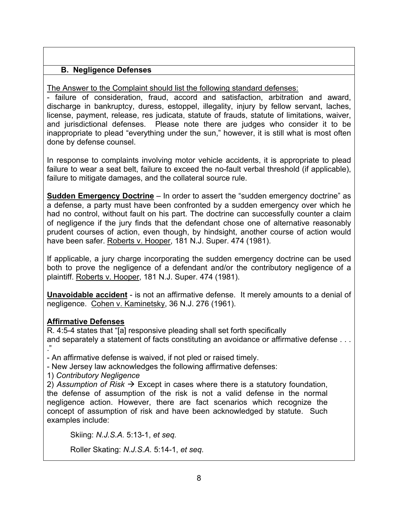## **B. Negligence Defenses**

The Answer to the Complaint should list the following standard defenses:

- failure of consideration, fraud, accord and satisfaction, arbitration and award, discharge in bankruptcy, duress, estoppel, illegality, injury by fellow servant, laches, license, payment, release, res judicata, statute of frauds, statute of limitations, waiver, and jurisdictional defenses. Please note there are judges who consider it to be inappropriate to plead "everything under the sun," however, it is still what is most often done by defense counsel.

In response to complaints involving motor vehicle accidents, it is appropriate to plead failure to wear a seat belt, failure to exceed the no-fault verbal threshold (if applicable), failure to mitigate damages, and the collateral source rule.

**Sudden Emergency Doctrine** – In order to assert the "sudden emergency doctrine" as a defense, a party must have been confronted by a sudden emergency over which he had no control, without fault on his part. The doctrine can successfully counter a claim of negligence if the jury finds that the defendant chose one of alternative reasonably prudent courses of action, even though, by hindsight, another course of action would have been safer. Roberts v. Hooper, 181 N.J. Super. 474 (1981).

If applicable, a jury charge incorporating the sudden emergency doctrine can be used both to prove the negligence of a defendant and/or the contributory negligence of a plaintiff. Roberts v. Hooper, 181 N.J. Super. 474 (1981).

**Unavoidable accident** - is not an affirmative defense. It merely amounts to a denial of negligence. Cohen v. Kaminetsky, 36 N.J. 276 (1961).

## **Affirmative Defenses**

R. 4:5-4 states that "[a] responsive pleading shall set forth specifically and separately a statement of facts constituting an avoidance or affirmative defense . . . ."

- An affirmative defense is waived, if not pled or raised timely.

- New Jersey law acknowledges the following affirmative defenses:

1) *Contributory Negligence*

2) Assumption of Risk  $\rightarrow$  Except in cases where there is a statutory foundation, the defense of assumption of the risk is not a valid defense in the normal negligence action. However, there are fact scenarios which recognize the concept of assumption of risk and have been acknowledged by statute. Such examples include:

Skiing: *N.J.S.A.* 5:13-1, *et seq.* 

Roller Skating: *N.J.S.A.* 5:14-1, *et seq.*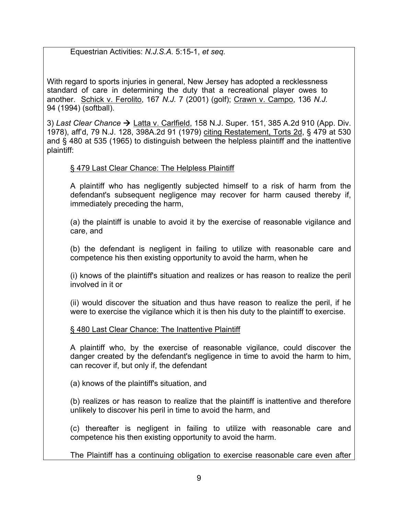Equestrian Activities: *N.J.S.A.* 5:15-1, *et seq.*

With regard to sports injuries in general, New Jersey has adopted a recklessness standard of care in determining the duty that a recreational player owes to another. Schick v. Ferolito, 167 *N.J.* 7 (2001) (golf); Crawn v. Campo, 136 *N.J.* 94 (1994) (softball).

3) Last Clear Chance → Latta v. Carlfield, 158 N.J. Super. 151, 385 A.2d 910 (App. Div. 1978), aff'd, 79 N.J. 128, 398A.2d 91 (1979) citing Restatement, Torts 2d, § 479 at 530 and § 480 at 535 (1965) to distinguish between the helpless plaintiff and the inattentive plaintiff:

## § 479 Last Clear Chance: The Helpless Plaintiff

A plaintiff who has negligently subjected himself to a risk of harm from the defendant's subsequent negligence may recover for harm caused thereby if, immediately preceding the harm,

(a) the plaintiff is unable to avoid it by the exercise of reasonable vigilance and care, and

(b) the defendant is negligent in failing to utilize with reasonable care and competence his then existing opportunity to avoid the harm, when he

(i) knows of the plaintiff's situation and realizes or has reason to realize the peril involved in it or

(ii) would discover the situation and thus have reason to realize the peril, if he were to exercise the vigilance which it is then his duty to the plaintiff to exercise.

## § 480 Last Clear Chance: The Inattentive Plaintiff

A plaintiff who, by the exercise of reasonable vigilance, could discover the danger created by the defendant's negligence in time to avoid the harm to him, can recover if, but only if, the defendant

(a) knows of the plaintiff's situation, and

(b) realizes or has reason to realize that the plaintiff is inattentive and therefore unlikely to discover his peril in time to avoid the harm, and

(c) thereafter is negligent in failing to utilize with reasonable care and competence his then existing opportunity to avoid the harm.

The Plaintiff has a continuing obligation to exercise reasonable care even after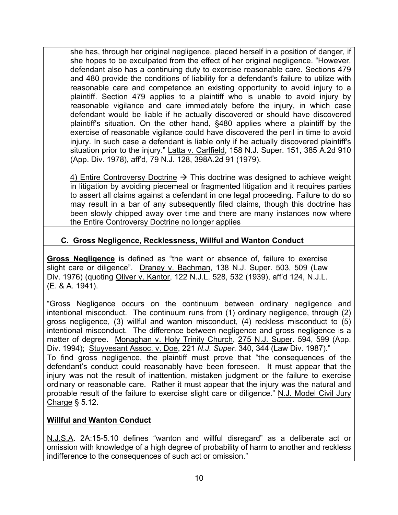she has, through her original negligence, placed herself in a position of danger, if she hopes to be exculpated from the effect of her original negligence. "However, defendant also has a continuing duty to exercise reasonable care. Sections 479 and 480 provide the conditions of liability for a defendant's failure to utilize with reasonable care and competence an existing opportunity to avoid injury to a plaintiff. Section 479 applies to a plaintiff who is unable to avoid injury by reasonable vigilance and care immediately before the injury, in which case defendant would be liable if he actually discovered or should have discovered plaintiff's situation. On the other hand, §480 applies where a plaintiff by the exercise of reasonable vigilance could have discovered the peril in time to avoid injury. In such case a defendant is liable only if he actually discovered plaintiff's situation prior to the injury." Latta v. Carlfield, 158 N.J. Super. 151, 385 A.2d 910 (App. Div. 1978), aff'd, 79 N.J. 128, 398A.2d 91 (1979).

4) Entire Controversy Doctrine  $\rightarrow$  This doctrine was designed to achieve weight in litigation by avoiding piecemeal or fragmented litigation and it requires parties to assert all claims against a defendant in one legal proceeding. Failure to do so may result in a bar of any subsequently filed claims, though this doctrine has been slowly chipped away over time and there are many instances now where the Entire Controversy Doctrine no longer applies

## **C. Gross Negligence, Recklessness, Willful and Wanton Conduct**

**Gross Negligence** is defined as "the want or absence of, failure to exercise slight care or diligence". Draney v. Bachman, 138 N.J. Super. 503, 509 (Law Div. 1976) (quoting Oliver v. Kantor, 122 N.J.L. 528, 532 (1939), aff'd 124, N.J.L. (E. & A. 1941).

"Gross Negligence occurs on the continuum between ordinary negligence and intentional misconduct. The continuum runs from (1) ordinary negligence, through (2) gross negligence, (3) willful and wanton misconduct, (4) reckless misconduct to (5) intentional misconduct. The difference between negligence and gross negligence is a matter of degree. Monaghan v. Holy Trinity Church, 275 N.J. Super. 594, 599 (App. Div. 1994); Stuyvesant Assoc. v. Doe, 221 *N.J. Super.* 340, 344 (Law Div. 1987)." To find gross negligence, the plaintiff must prove that "the consequences of the defendant's conduct could reasonably have been foreseen. It must appear that the injury was not the result of inattention, mistaken judgment or the failure to exercise ordinary or reasonable care. Rather it must appear that the injury was the natural and probable result of the failure to exercise slight care or diligence." N.J. Model Civil Jury Charge § 5.12.

## **Willful and Wanton Conduct**

N.J.S.A. 2A:15-5.10 defines "wanton and willful disregard" as a deliberate act or omission with knowledge of a high degree of probability of harm to another and reckless indifference to the consequences of such act or omission."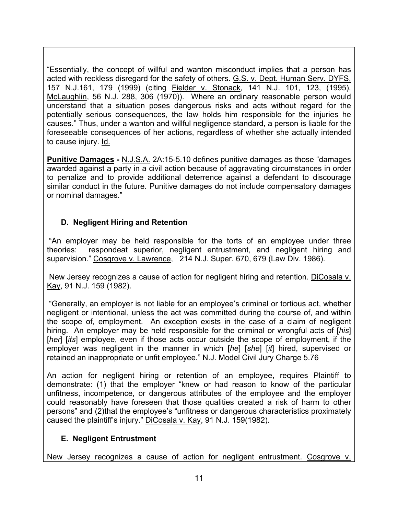"Essentially, the concept of willful and wanton misconduct implies that a person has acted with reckless disregard for the safety of others. G.S. v. Dept. Human Serv. DYFS, 157 N.J.161, 179 (1999) (citing Fielder v. Stonack, 141 N.J. 101, 123, (1995), McLaughlin, 56 N.J. 288, 306 (1970)). Where an ordinary reasonable person would understand that a situation poses dangerous risks and acts without regard for the potentially serious consequences, the law holds him responsible for the injuries he causes." Thus, under a wanton and willful negligence standard, a person is liable for the foreseeable consequences of her actions, regardless of whether she actually intended to cause injury. Id.

**Punitive Damages -** N.J.S.A. 2A:15-5.10 defines punitive damages as those "damages awarded against a party in a civil action because of aggravating circumstances in order to penalize and to provide additional deterrence against a defendant to discourage similar conduct in the future. Punitive damages do not include compensatory damages or nominal damages."

## **D. Negligent Hiring and Retention**

"An employer may be held responsible for the torts of an employee under three theories: respondeat superior, negligent entrustment, and negligent hiring and supervision." Cosgrove v. Lawrence, 214 N.J. Super. 670, 679 (Law Div. 1986).

New Jersey recognizes a cause of action for negligent hiring and retention. DiCosala v. Kay, 91 N.J. 159 (1982).

"Generally, an employer is not liable for an employee's criminal or tortious act, whether negligent or intentional, unless the act was committed during the course of, and within the scope of, employment. An exception exists in the case of a claim of negligent hiring. An employer may be held responsible for the criminal or wrongful acts of [*his*] [her] [its] employee, even if those acts occur outside the scope of employment, if the employer was negligent in the manner in which [*he*] [*she*] [*it*] hired, supervised or retained an inappropriate or unfit employee." N.J. Model Civil Jury Charge 5.76

An action for negligent hiring or retention of an employee, requires Plaintiff to demonstrate: (1) that the employer "knew or had reason to know of the particular unfitness, incompetence, or dangerous attributes of the employee and the employer could reasonably have foreseen that those qualities created a risk of harm to other persons" and (2)that the employee's "unfitness or dangerous characteristics proximately caused the plaintiff's injury." DiCosala v. Kay, 91 N.J. 159(1982).

#### **E. Negligent Entrustment**

New Jersey recognizes a cause of action for negligent entrustment. Cosgrove v.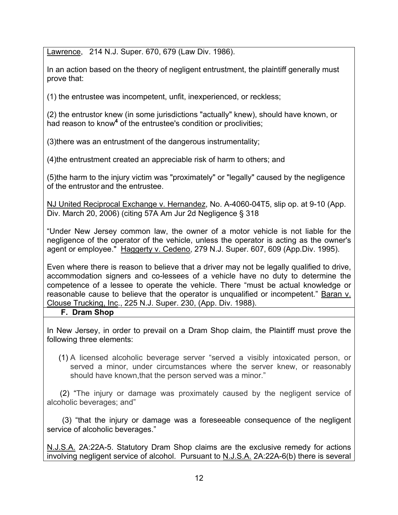Lawrence, 214 N.J. Super. 670, 679 (Law Div. 1986).

In an action based on the theory of negligent entrustment, the plaintiff generally must prove that:

(1) the entrustee was incompetent, unfit, inexperienced, or reckless;

(2) the entrustor knew (in some jurisdictions "actually" knew), should have known, or had reason to know<sup>4</sup> of the entrustee's condition or proclivities;

(3)there was an entrustment of the dangerous instrumentality;

(4)the entrustment created an appreciable risk of harm to others; and

(5)the harm to the injury victim was "proximately" or "legally" caused by the negligence of the entrustor and the entrustee.

NJ United Reciprocal Exchange v. Hernandez, No. A-4060-04T5, slip op. at 9-10 (App. Div. March 20, 2006) (citing 57A Am Jur 2d Negligence § 318

"Under New Jersey common law, the owner of a motor vehicle is not liable for the negligence of the operator of the vehicle, unless the operator is acting as the owner's agent or employee." Haggerty v. Cedeno, 279 N.J. Super. 607, 609 (App.Div. 1995).

Even where there is reason to believe that a driver may not be legally qualified to drive, accommodation signers and co-lessees of a vehicle have no duty to determine the competence of a lessee to operate the vehicle. There "must be actual knowledge or reasonable cause to believe that the operator is unqualified or incompetent." Baran v. Clouse Trucking, Inc., 225 N.J. Super. 230, (App. Div. 1988).

**F. Dram Shop**

In New Jersey, in order to prevail on a Dram Shop claim, the Plaintiff must prove the following three elements:

(1) A licensed alcoholic beverage server "served a visibly intoxicated person, or served a minor, under circumstances where the server knew, or reasonably should have known,that the person served was a minor."

 (2) "The injury or damage was proximately caused by the negligent service of alcoholic beverages; and"

 (3) "that the injury or damage was a foreseeable consequence of the negligent service of alcoholic beverages."

N.J.S.A. 2A:22A-5. Statutory Dram Shop claims are the exclusive remedy for actions involving negligent service of alcohol. Pursuant to N.J.S.A. 2A:22A-6(b) there is several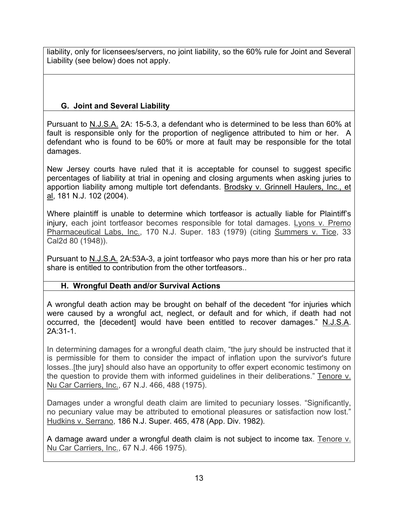liability, only for licensees/servers, no joint liability, so the 60% rule for Joint and Several Liability (see below) does not apply.

# **G. Joint and Several Liability**

Pursuant to N.J.S.A. 2A: 15-5.3, a defendant who is determined to be less than 60% at fault is responsible only for the proportion of negligence attributed to him or her. A defendant who is found to be 60% or more at fault may be responsible for the total damages.

New Jersey courts have ruled that it is acceptable for counsel to suggest specific percentages of liability at trial in opening and closing arguments when asking juries to apportion liability among multiple tort defendants. Brodsky v. Grinnell Haulers, Inc., et al, 181 N.J. 102 (2004).

Where plaintiff is unable to determine which tortfeasor is actually liable for Plaintiff's injury, each joint tortfeasor becomes responsible for total damages. Lyons v. Premo Pharmaceutical Labs, Inc., 170 N.J. Super. 183 (1979) (citing Summers v. Tice, 33 Cal2d 80 (1948)).

Pursuant to N.J.S.A. 2A:53A-3, a joint tortfeasor who pays more than his or her pro rata share is entitled to contribution from the other tortfeasors..

# **H. Wrongful Death and/or Survival Actions**

A wrongful death action may be brought on behalf of the decedent "for injuries which were caused by a wrongful act, neglect, or default and for which, if death had not occurred, the [decedent] would have been entitled to recover damages." N.J.S.A. 2A:31-1.

In determining damages for a wrongful death claim, "the jury should be instructed that it is permissible for them to consider the impact of inflation upon the survivor's future losses..[the jury] should also have an opportunity to offer expert economic testimony on the question to provide them with informed guidelines in their deliberations." Tenore v. Nu Car Carriers, Inc., 67 N.J. 466, 488 (1975).

Damages under a wrongful death claim are limited to pecuniary losses. "Significantly, no pecuniary value may be attributed to emotional pleasures or satisfaction now lost." Hudkins v. Serrano, 186 N.J. Super. 465, 478 (App. Div. 1982).

A damage award under a wrongful death claim is not subject to income tax. Tenore v. Nu Car Carriers, Inc., 67 N.J. 466 1975).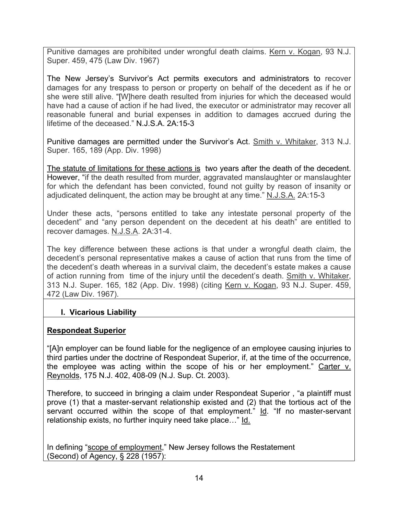Punitive damages are prohibited under wrongful death claims. Kern v. Kogan, 93 N.J. Super. 459, 475 (Law Div. 1967)

The New Jersey's Survivor's Act permits executors and administrators to recover damages for any trespass to person or property on behalf of the decedent as if he or she were still alive. "[W]here death resulted from injuries for which the deceased would have had a cause of action if he had lived, the executor or administrator may recover all reasonable funeral and burial expenses in addition to damages accrued during the lifetime of the deceased." N.J.S.A. 2A:15-3

Punitive damages are permitted under the Survivor's Act. Smith v. Whitaker, 313 N.J. Super. 165, 189 (App. Div. 1998)

The statute of limitations for these actions is two years after the death of the decedent. However, "if the death resulted from murder, aggravated manslaughter or manslaughter for which the defendant has been convicted, found not guilty by reason of insanity or adjudicated delinquent, the action may be brought at any time." N.J.S.A. 2A:15-3

Under these acts, "persons entitled to take any intestate personal property of the decedent" and "any person dependent on the decedent at his death" are entitled to recover damages. N.J.S.A. 2A:31-4.

The key difference between these actions is that under a wrongful death claim, the decedent's personal representative makes a cause of action that runs from the time of the decedent's death whereas in a survival claim, the decedent's estate makes a cause of action running from time of the injury until the decedent's death. Smith v. Whitaker, 313 N.J. Super. 165, 182 (App. Div. 1998) (citing Kern v. Kogan, 93 N.J. Super. 459, 472 (Law Div. 1967).

# **I. Vicarious Liability**

## **Respondeat Superior**

"[A]n employer can be found liable for the negligence of an employee causing injuries to third parties under the doctrine of Respondeat Superior, if, at the time of the occurrence, the employee was acting within the scope of his or her employment." Carter v. Reynolds, 175 N.J. 402, 408-09 (N.J. Sup. Ct. 2003).

Therefore, to succeed in bringing a claim under Respondeat Superior , "a plaintiff must prove (1) that a master-servant relationship existed and (2) that the tortious act of the servant occurred within the scope of that employment." Id. "If no master-servant relationship exists, no further inquiry need take place…" Id.

In defining "scope of employment," New Jersey follows the Restatement (Second) of Agency, § 228 (1957):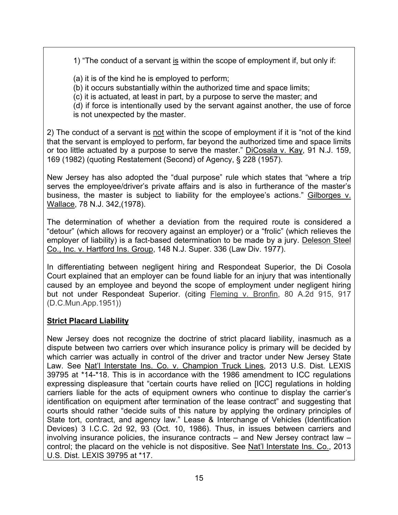1) "The conduct of a servant is within the scope of employment if, but only if:

(a) it is of the kind he is employed to perform;

(b) it occurs substantially within the authorized time and space limits;

(c) it is actuated, at least in part, by a purpose to serve the master; and

(d) if force is intentionally used by the servant against another, the use of force is not unexpected by the master.

2) The conduct of a servant is not within the scope of employment if it is "not of the kind that the servant is employed to perform, far beyond the authorized time and space limits or too little actuated by a purpose to serve the master." DiCosala v. Kay, 91 N.J. 159, 169 (1982) (quoting Restatement (Second) of Agency, § 228 (1957).

New Jersey has also adopted the "dual purpose" rule which states that "where a trip serves the employee/driver's private affairs and is also in furtherance of the master's business, the master is subject to liability for the employee's actions." Gilborges v. Wallace, 78 N.J. 342,(1978).

The determination of whether a deviation from the required route is considered a "detour" (which allows for recovery against an employer) or a "frolic" (which relieves the employer of liability) is a fact-based determination to be made by a jury. Deleson Steel Co., Inc. v. Hartford Ins. Group, 148 N.J. Super. 336 (Law Div. 1977).

In differentiating between negligent hiring and Respondeat Superior, the Di Cosola Court explained that an employer can be found liable for an injury that was intentionally caused by an employee and beyond the scope of employment under negligent hiring but not under Respondeat Superior. (citing Fleming v. Bronfin, 80 A.2d 915, 917 (D.C.Mun.App.1951))

# **Strict Placard Liability**

New Jersey does not recognize the doctrine of strict placard liability, inasmuch as a dispute between two carriers over which insurance policy is primary will be decided by which carrier was actually in control of the driver and tractor under New Jersey State Law. See Nat'l Interstate Ins. Co. v. Champion Truck Lines, 2013 U.S. Dist. LEXIS 39795 at \*14-\*18. This is in accordance with the 1986 amendment to ICC regulations expressing displeasure that "certain courts have relied on [ICC] regulations in holding carriers liable for the acts of equipment owners who continue to display the carrier's identification on equipment after termination of the lease contract" and suggesting that courts should rather "decide suits of this nature by applying the ordinary principles of State tort, contract, and agency law." Lease & Interchange of Vehicles (Identification Devices) 3 I.C.C. 2d 92, 93 (Oct. 10, 1986). Thus, in issues between carriers and involving insurance policies, the insurance contracts – and New Jersey contract law – control; the placard on the vehicle is not dispositive. See Nat'l Interstate Ins. Co., 2013 U.S. Dist. LEXIS 39795 at \*17.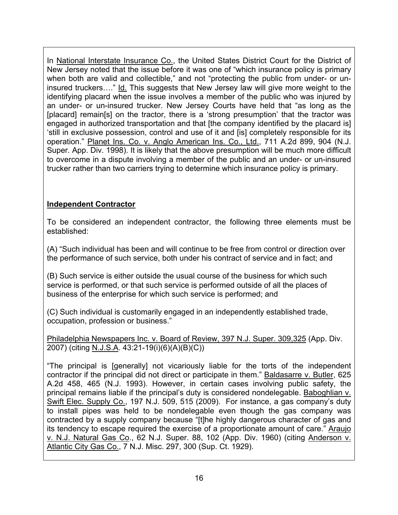In National Interstate Insurance Co., the United States District Court for the District of New Jersey noted that the issue before it was one of "which insurance policy is primary when both are valid and collectible," and not "protecting the public from under- or uninsured truckers…." Id. This suggests that New Jersey law will give more weight to the identifying placard when the issue involves a member of the public who was injured by an under- or un-insured trucker. New Jersey Courts have held that "as long as the [placard] remain[s] on the tractor, there is a 'strong presumption' that the tractor was engaged in authorized transportation and that [the company identified by the placard is] 'still in exclusive possession, control and use of it and [is] completely responsible for its operation." Planet Ins. Co. v. Anglo American Ins. Co., Ltd., 711 A.2d 899, 904 (N.J. Super. App. Div. 1998). It is likely that the above presumption will be much more difficult to overcome in a dispute involving a member of the public and an under- or un-insured trucker rather than two carriers trying to determine which insurance policy is primary.

# **Independent Contractor**

To be considered an independent contractor, the following three elements must be established:

(A) "Such individual has been and will continue to be free from control or direction over the performance of such service, both under his contract of service and in fact; and

(B) Such service is either outside the usual course of the business for which such service is performed, or that such service is performed outside of all the places of business of the enterprise for which such service is performed; and

(C) Such individual is customarily engaged in an independently established trade, occupation, profession or business."

Philadelphia Newspapers Inc. v. Board of Review, 397 N.J. Super. 309,325 (App. Div. 2007) (citing N.J.S.A. 43:21-19(i)(6)(A)(B)(C))

"The principal is [generally] not vicariously liable for the torts of the independent contractor if the principal did not direct or participate in them." Baldasarre v. Butler, 625 A.2d 458, 465 (N.J. 1993). However, in certain cases involving public safety, the principal remains liable if the principal's duty is considered nondelegable. Baboghlian v. Swift Elec. Supply Co., 197 N.J. 509, 515 (2009). For instance, a gas company's duty to install pipes was held to be nondelegable even though the gas company was contracted by a supply company because "[t]he highly dangerous character of gas and its tendency to escape required the exercise of a proportionate amount of care." Araujo v. N.J. Natural Gas Co., 62 N.J. Super. 88, 102 (App. Div. 1960) (citing Anderson v. Atlantic City Gas Co., 7 N.J. Misc. 297, 300 (Sup. Ct. 1929).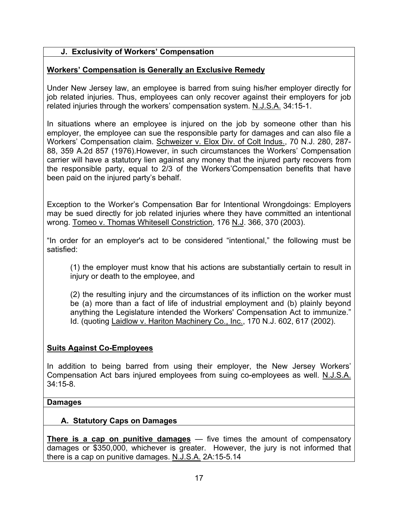## **J. Exclusivity of Workers' Compensation**

### **Workers' Compensation is Generally an Exclusive Remedy**

Under New Jersey law, an employee is barred from suing his/her employer directly for job related injuries. Thus, employees can only recover against their employers for job related injuries through the workers' compensation system. N.J.S.A. 34:15-1.

In situations where an employee is injured on the job by someone other than his employer, the employee can sue the responsible party for damages and can also file a Workers' Compensation claim. Schweizer v. Elox Div. of Colt Indus., 70 N.J. 280, 287- 88, 359 A.2d 857 (1976).However, in such circumstances the Workers' Compensation carrier will have a statutory lien against any money that the injured party recovers from the responsible party, equal to 2/3 of the Workers'Compensation benefits that have been paid on the injured party's behalf.

Exception to the Worker's Compensation Bar for Intentional Wrongdoings: Employers may be sued directly for job related injuries where they have committed an intentional wrong. Tomeo v. Thomas Whitesell Constriction, 176 N.J. 366, 370 (2003).

"In order for an employer's act to be considered "intentional," the following must be satisfied:

(1) the employer must know that his actions are substantially certain to result in injury or death to the employee, and

(2) the resulting injury and the circumstances of its infliction on the worker must be (a) more than a fact of life of industrial employment and (b) plainly beyond anything the Legislature intended the Workers' Compensation Act to immunize." Id. (quoting Laidlow v. Hariton Machinery Co., Inc., 170 N.J. 602, 617 (2002).

## **Suits Against Co-Employees**

In addition to being barred from using their employer, the New Jersey Workers' Compensation Act bars injured employees from suing co-employees as well. N.J.S.A. 34:15-8.

#### **Damages**

## **A. Statutory Caps on Damages**

**There is a cap on punitive damages** — five times the amount of compensatory damages or \$350,000, whichever is greater. However, the jury is not informed that there is a cap on punitive damages. N.J.S.A. 2A:15-5.14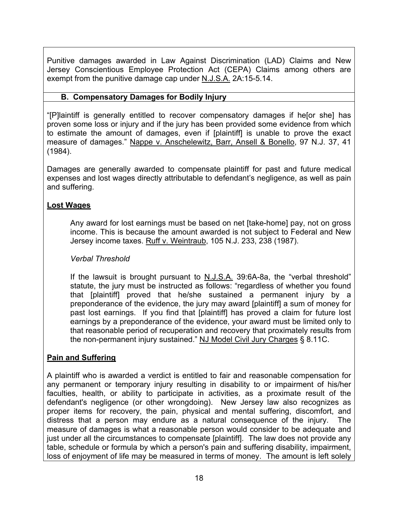Punitive damages awarded in Law Against Discrimination (LAD) Claims and New Jersey Conscientious Employee Protection Act (CEPA) Claims among others are exempt from the punitive damage cap under N.J.S.A. 2A:15-5.14.

### **B. Compensatory Damages for Bodily Injury**

"[P]laintiff is generally entitled to recover compensatory damages if he[or she] has proven some loss or injury and if the jury has been provided some evidence from which to estimate the amount of damages, even if [plaintiff] is unable to prove the exact measure of damages." Nappe v. Anschelewitz, Barr, Ansell & Bonello, 97 N.J. 37, 41 (1984).

Damages are generally awarded to compensate plaintiff for past and future medical expenses and lost wages directly attributable to defendant's negligence, as well as pain and suffering.

#### **Lost Wages**

Any award for lost earnings must be based on net [take-home] pay, not on gross income. This is because the amount awarded is not subject to Federal and New Jersey income taxes. Ruff v. Weintraub, 105 N.J. 233, 238 (1987).

#### *Verbal Threshold*

If the lawsuit is brought pursuant to N.J.S.A. 39:6A-8a, the "verbal threshold" statute, the jury must be instructed as follows: "regardless of whether you found that [plaintiff] proved that he/she sustained a permanent injury by a preponderance of the evidence, the jury may award [plaintiff] a sum of money for past lost earnings. If you find that [plaintiff] has proved a claim for future lost earnings by a preponderance of the evidence, your award must be limited only to that reasonable period of recuperation and recovery that proximately results from the non-permanent injury sustained." NJ Model Civil Jury Charges § 8.11C.

#### **Pain and Suffering**

A plaintiff who is awarded a verdict is entitled to fair and reasonable compensation for any permanent or temporary injury resulting in disability to or impairment of his/her faculties, health, or ability to participate in activities, as a proximate result of the defendant's negligence (or other wrongdoing). New Jersey law also recognizes as proper items for recovery, the pain, physical and mental suffering, discomfort, and distress that a person may endure as a natural consequence of the injury. The measure of damages is what a reasonable person would consider to be adequate and just under all the circumstances to compensate [plaintiff]. The law does not provide any table, schedule or formula by which a person's pain and suffering disability, impairment, loss of enjoyment of life may be measured in terms of money. The amount is left solely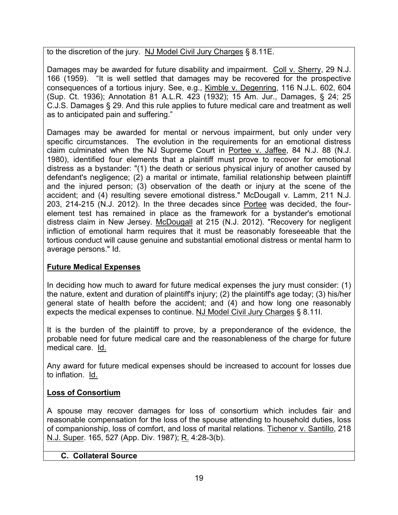to the discretion of the jury. NJ Model Civil Jury Charges § 8.11E.

Damages may be awarded for future disability and impairment. Coll v. Sherry, 29 N.J. 166 (1959). "It is well settled that damages may be recovered for the prospective consequences of a tortious injury. See, e.g., Kimble v. Degenring, 116 N.J.L. 602, 604 (Sup. Ct. 1936); Annotation 81 A.L.R. 423 (1932); 15 Am. Jur., Damages, § 24; 25 C.J.S. Damages § 29. And this rule applies to future medical care and treatment as well as to anticipated pain and suffering."

Damages may be awarded for mental or nervous impairment, but only under very specific circumstances.The evolution in the requirements for an emotional distress claim culminated when the NJ Supreme Court in Portee v. Jaffee, 84 N.J. 88 (N.J. 1980), identified four elements that a plaintiff must prove to recover for emotional distress as a bystander: "(1) the death or serious physical injury of another caused by defendant's negligence; (2) a marital or intimate, familial relationship between plaintiff and the injured person; (3) observation of the death or injury at the scene of the accident; and (4) resulting severe emotional distress." McDougall v. Lamm, 211 N.J. 203, 214-215 (N.J. 2012). In the three decades since Portee was decided, the fourelement test has remained in place as the framework for a bystander's emotional distress claim in New Jersey. McDougall at 215 (N.J. 2012). "Recovery for negligent infliction of emotional harm requires that it must be reasonably foreseeable that the tortious conduct will cause genuine and substantial emotional distress or mental harm to average persons." Id.

# **Future Medical Expenses**

In deciding how much to award for future medical expenses the jury must consider: (1) the nature, extent and duration of plaintiff's injury; (2) the plaintiff's age today; (3) his/her general state of health before the accident; and (4) and how long one reasonably expects the medical expenses to continue. NJ Model Civil Jury Charges § 8.11I.

It is the burden of the plaintiff to prove, by a preponderance of the evidence, the probable need for future medical care and the reasonableness of the charge for future medical care. Id.

Any award for future medical expenses should be increased to account for losses due to inflation. Id.

# **Loss of Consortium**

A spouse may recover damages for loss of consortium which includes fair and reasonable compensation for the loss of the spouse attending to household duties, loss of companionship, loss of comfort, and loss of marital relations. Tichenor v. Santillo, 218 N.J. Super. 165, 527 (App. Div. 1987); R. 4:28-3(b).

## **C. Collateral Source**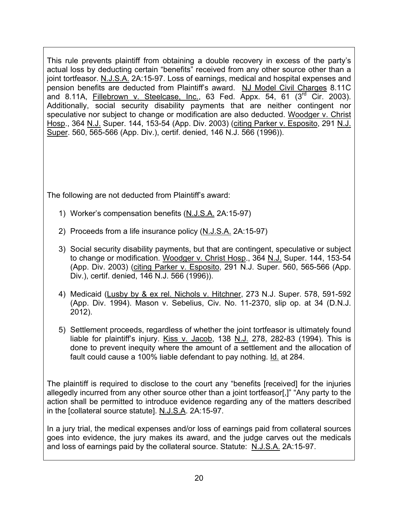This rule prevents plaintiff from obtaining a double recovery in excess of the party's actual loss by deducting certain "benefits" received from any other source other than a joint tortfeasor. N.J.S.A. 2A:15-97. Loss of earnings, medical and hospital expenses and pension benefits are deducted from Plaintiff's award. NJ Model Civil Charges 8.11C and 8.11A, Fillebrown v. Steelcase, Inc., 63 Fed. Appx. 54, 61 (3<sup>rd</sup> Cir. 2003). Additionally, social security disability payments that are neither contingent nor speculative nor subject to change or modification are also deducted. Woodger v. Christ Hosp., 364 N.J. Super. 144, 153-54 (App. Div. 2003) (citing Parker v. Esposito, 291 N.J. Super. 560, 565-566 (App. Div.), certif. denied, 146 N.J. 566 (1996)).

The following are not deducted from Plaintiff's award:

- 1) Worker's compensation benefits (N.J.S.A. 2A:15-97)
- 2) Proceeds from a life insurance policy (N.J.S.A. 2A:15-97)
- 3) Social security disability payments, but that are contingent, speculative or subject to change or modification. Woodger v. Christ Hosp., 364 N.J. Super. 144, 153-54 (App. Div. 2003) (citing Parker v. Esposito, 291 N.J. Super. 560, 565-566 (App. Div.), certif. denied, 146 N.J. 566 (1996)).
- 4) Medicaid (Lusby by & ex rel. Nichols v. Hitchner, 273 N.J. Super. 578, 591-592 (App. Div. 1994). Mason v. Sebelius, Civ. No. 11-2370, slip op. at 34 (D.N.J. 2012).
- 5) Settlement proceeds, regardless of whether the joint tortfeasor is ultimately found liable for plaintiff's injury. Kiss v. Jacob, 138 N.J. 278, 282-83 (1994). This is done to prevent inequity where the amount of a settlement and the allocation of fault could cause a 100% liable defendant to pay nothing. Id. at 284.

The plaintiff is required to disclose to the court any "benefits [received] for the injuries allegedly incurred from any other source other than a joint tortfeasor[,]" "Any party to the action shall be permitted to introduce evidence regarding any of the matters described in the [collateral source statute]. N.J.S.A. 2A:15-97.

In a jury trial, the medical expenses and/or loss of earnings paid from collateral sources goes into evidence, the jury makes its award, and the judge carves out the medicals and loss of earnings paid by the collateral source. Statute: N.J.S.A. 2A:15-97.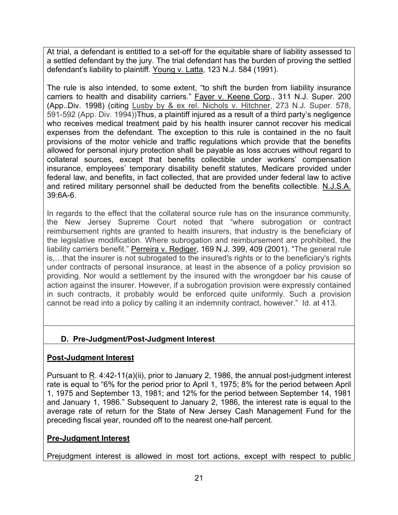At trial, a defendant is entitled to a set-off for the equitable share of liability assessed to a settled defendant by the jury. The trial defendant has the burden of proving the settled defendant's liability to plaintiff. Young v. Latta, 123 N.J. 584 (1991).

The rule is also intended, to some extent, "to shift the burden from liability insurance carriers to health and disability carriers." Fayer v. Keene Corp., 311 N.J. Super. 200 (App..Div. 1998) (citing Lusby by & ex rel. Nichols v. Hitchner, 273 N.J. Super. 578, 591-592 (App. Div. 1994))Thus, a plaintiff injured as a result of a third party's negligence who receives medical treatment paid by his health insurer cannot recover his medical expenses from the defendant. The exception to this rule is contained in the no fault provisions of the motor vehicle and traffic regulations which provide that the benefits allowed for personal injury protection shall be payable as loss accrues without regard to collateral sources, except that benefits collectible under workers' compensation insurance, employees' temporary disability benefit statutes, Medicare provided under federal law, and benefits, in fact collected, that are provided under federal law to active and retired military personnel shall be deducted from the benefits collectible. N.J.S.A. 39:6A-6.

In regards to the effect that the collateral source rule has on the insurance community, the New Jersey Supreme Court noted that "where subrogation or contract reimbursement rights are granted to health insurers, that industry is the beneficiary of the legislative modification. Where subrogation and reimbursement are prohibited, the liability carriers benefit." Perreira v. Rediger, 169 N.J. 399, 409 (2001). "The general rule is,…that the insurer is not subrogated to the insured's rights or to the beneficiary's rights under contracts of personal insurance, at least in the absence of a policy provision so providing. Nor would a settlement by the insured with the wrongdoer bar his cause of action against the insurer. However, if a subrogation provision were expressly contained in such contracts, it probably would be enforced quite uniformly. Such a provision cannot be read into a policy by calling it an indemnity contract, however." Id. at 413.

# **D. Pre-Judgment/Post-Judgment Interest**

## **Post-Judgment Interest**

Pursuant to R. 4:42-11(a)(ii), prior to January 2, 1986, the annual post-judgment interest rate is equal to "6% for the period prior to April 1, 1975; 8% for the period between April 1, 1975 and September 13, 1981; and 12% for the period between September 14, 1981 and January 1, 1986." Subsequent to January 2, 1986, the interest rate is equal to the average rate of return for the State of New Jersey Cash Management Fund for the preceding fiscal year, rounded off to the nearest one-half percent.

# **Pre-Judgment Interest**

Prejudgment interest is allowed in most tort actions, except with respect to public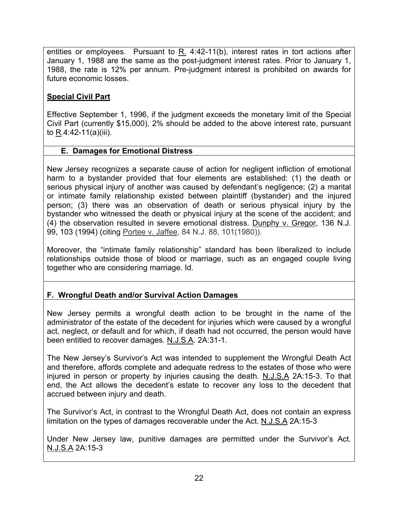entities or employees. Pursuant to R. 4:42-11(b), interest rates in tort actions after January 1, 1988 are the same as the post-judgment interest rates. Prior to January 1, 1988, the rate is 12% per annum. Pre-judgment interest is prohibited on awards for future economic losses.

## **Special Civil Part**

Effective September 1, 1996, if the judgment exceeds the monetary limit of the Special Civil Part (currently \$15,000), 2% should be added to the above interest rate, pursuant to R.4:42-11(a)(iii).

## **E. Damages for Emotional Distress**

New Jersey recognizes a separate cause of action for negligent infliction of emotional harm to a bystander provided that four elements are established: (1) the death or serious physical injury of another was caused by defendant's negligence; (2) a marital or intimate family relationship existed between plaintiff (bystander) and the injured person; (3) there was an observation of death or serious physical injury by the bystander who witnessed the death or physical injury at the scene of the accident; and (4) the observation resulted in severe emotional distress. Dunphy v. Gregor, 136 N.J. 99, 103 (1994) (citing Portee v. Jaffee, 84 N.J. 88, 101(1980)).

Moreover, the "intimate family relationship" standard has been liberalized to include relationships outside those of blood or marriage, such as an engaged couple living together who are considering marriage. Id.

# **F. Wrongful Death and/or Survival Action Damages**

New Jersey permits a wrongful death action to be brought in the name of the administrator of the estate of the decedent for injuries which were caused by a wrongful act, neglect, or default and for which, if death had not occurred, the person would have been entitled to recover damages. N.J.S.A. 2A:31-1.

The New Jersey's Survivor's Act was intended to supplement the Wrongful Death Act and therefore, affords complete and adequate redress to the estates of those who were injured in person or property by injuries causing the death. N.J.S.A 2A:15-3. To that end, the Act allows the decedent's estate to recover any loss to the decedent that accrued between injury and death.

The Survivor's Act, in contrast to the Wrongful Death Act, does not contain an express limitation on the types of damages recoverable under the Act. N.J.S.A 2A:15-3

Under New Jersey law, punitive damages are permitted under the Survivor's Act. N.J.S.A 2A:15-3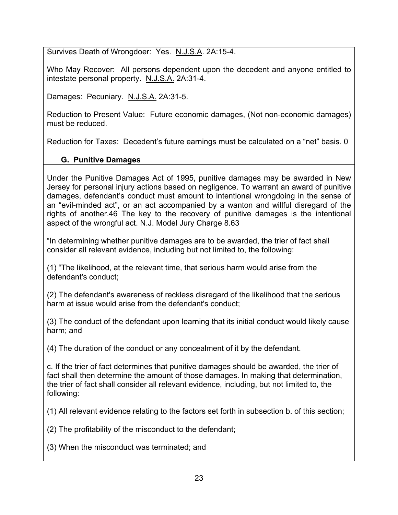Survives Death of Wrongdoer: Yes. N.J.S.A. 2A:15-4.

Who May Recover: All persons dependent upon the decedent and anyone entitled to intestate personal property. N.J.S.A. 2A:31-4.

Damages: Pecuniary. N.J.S.A. 2A:31-5.

Reduction to Present Value: Future economic damages, (Not non-economic damages) must be reduced.

Reduction for Taxes: Decedent's future earnings must be calculated on a "net" basis. 0

# **G. Punitive Damages**

Under the Punitive Damages Act of 1995, punitive damages may be awarded in New Jersey for personal injury actions based on negligence. To warrant an award of punitive damages, defendant's conduct must amount to intentional wrongdoing in the sense of an "evil-minded act", or an act accompanied by a wanton and willful disregard of the rights of another.46 The key to the recovery of punitive damages is the intentional aspect of the wrongful act. N.J. Model Jury Charge 8.63

"In determining whether punitive damages are to be awarded, the trier of fact shall consider all relevant evidence, including but not limited to, the following:

(1) "The likelihood, at the relevant time, that serious harm would arise from the defendant's conduct;

(2) The defendant's awareness of reckless disregard of the likelihood that the serious harm at issue would arise from the defendant's conduct;

(3) The conduct of the defendant upon learning that its initial conduct would likely cause harm; and

(4) The duration of the conduct or any concealment of it by the defendant.

c. If the trier of fact determines that punitive damages should be awarded, the trier of fact shall then determine the amount of those damages. In making that determination, the trier of fact shall consider all relevant evidence, including, but not limited to, the following:

(1) All relevant evidence relating to the factors set forth in subsection b. of this section;

(2) The profitability of the misconduct to the defendant;

(3) When the misconduct was terminated; and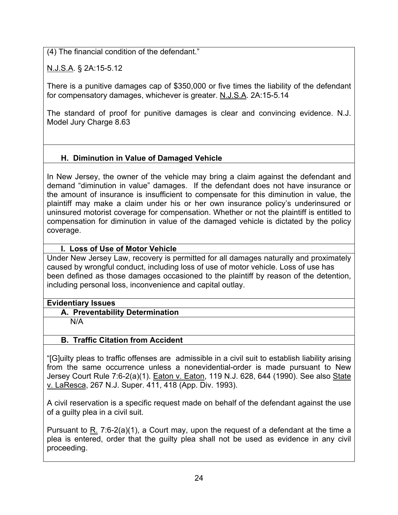(4) The financial condition of the defendant."

N.J.S.A. § 2A:15-5.12

There is a punitive damages cap of \$350,000 or five times the liability of the defendant for compensatory damages, whichever is greater. N.J.S.A. 2A:15-5.14

The standard of proof for punitive damages is clear and convincing evidence. N.J. Model Jury Charge 8.63

# **H. Diminution in Value of Damaged Vehicle**

In New Jersey, the owner of the vehicle may bring a claim against the defendant and demand "diminution in value" damages. If the defendant does not have insurance or the amount of insurance is insufficient to compensate for this diminution in value, the plaintiff may make a claim under his or her own insurance policy's underinsured or uninsured motorist coverage for compensation. Whether or not the plaintiff is entitled to compensation for diminution in value of the damaged vehicle is dictated by the policy coverage.

## **I. Loss of Use of Motor Vehicle**

Under New Jersey Law, recovery is permitted for all damages naturally and proximately caused by wrongful conduct, including loss of use of motor vehicle. Loss of use has been defined as those damages occasioned to the plaintiff by reason of the detention, including personal loss, inconvenience and capital outlay.

## **Evidentiary Issues**

- **A. Preventability Determination**
	- N/A

# **B. Traffic Citation from Accident**

"[G]uilty pleas to traffic offenses are admissible in a civil suit to establish liability arising from the same occurrence unless a nonevidential-order is made pursuant to New Jersey Court Rule 7:6-2(a)(1). Eaton v. Eaton, 119 N.J. 628, 644 (1990). See also State v. LaResca, 267 N.J. Super. 411, 418 (App. Div. 1993).

A civil reservation is a specific request made on behalf of the defendant against the use of a guilty plea in a civil suit.

Pursuant to R. 7:6-2(a)(1), a Court may, upon the request of a defendant at the time a plea is entered, order that the guilty plea shall not be used as evidence in any civil proceeding.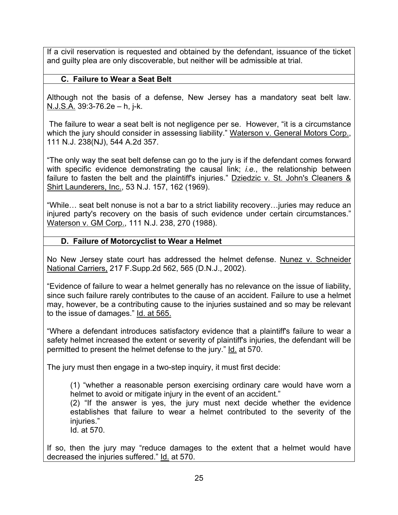If a civil reservation is requested and obtained by the defendant, issuance of the ticket and guilty plea are only discoverable, but neither will be admissible at trial.

### **C. Failure to Wear a Seat Belt**

Although not the basis of a defense, New Jersey has a mandatory seat belt law. N.J.S.A. 39:3-76.2e – h, j-k.

 The failure to wear a seat belt is not negligence per se. However, "it is a circumstance which the jury should consider in assessing liability." Waterson v. General Motors Corp., 111 N.J. 238(NJ), 544 A.2d 357.

"The only way the seat belt defense can go to the jury is if the defendant comes forward with specific evidence demonstrating the causal link; *i.e.*, the relationship between failure to fasten the belt and the plaintiff's injuries." Dziedzic v. St. John's Cleaners  $\&$ Shirt Launderers, Inc., 53 N.J. 157, 162 (1969).

"While… seat belt nonuse is not a bar to a strict liability recovery…juries may reduce an injured party's recovery on the basis of such evidence under certain circumstances." Waterson v. GM Corp., 111 N.J. 238, 270 (1988).

#### **D. Failure of Motorcyclist to Wear a Helmet**

No New Jersey state court has addressed the helmet defense. Nunez v. Schneider National Carriers, 217 F.Supp.2d 562, 565 (D.N.J., 2002).

"Evidence of failure to wear a helmet generally has no relevance on the issue of liability, since such failure rarely contributes to the cause of an accident. Failure to use a helmet may, however, be a contributing cause to the injuries sustained and so may be relevant to the issue of damages." Id. at 565.

"Where a defendant introduces satisfactory evidence that a plaintiff's failure to wear a safety helmet increased the extent or severity of plaintiff's injuries, the defendant will be permitted to present the helmet defense to the jury." Id. at 570.

The jury must then engage in a two-step inquiry, it must first decide:

(1) "whether a reasonable person exercising ordinary care would have worn a helmet to avoid or mitigate injury in the event of an accident."

(2) "If the answer is yes, the jury must next decide whether the evidence establishes that failure to wear a helmet contributed to the severity of the iniuries."

Id. at 570.

If so, then the jury may "reduce damages to the extent that a helmet would have decreased the injuries suffered." Id. at 570.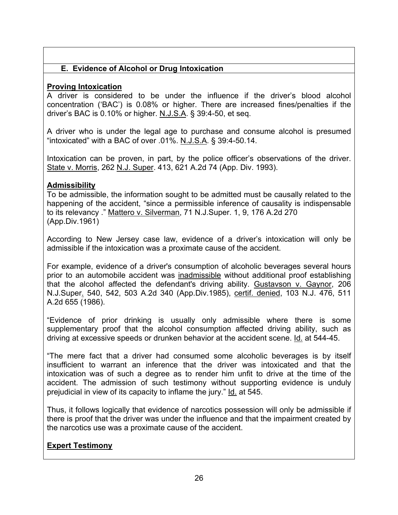## **E. Evidence of Alcohol or Drug Intoxication**

## **Proving Intoxication**

A driver is considered to be under the influence if the driver's blood alcohol concentration ('BAC') is 0.08% or higher. There are increased fines/penalties if the driver's BAC is 0.10% or higher. N.J.S.A. § 39:4-50, et seq.

A driver who is under the legal age to purchase and consume alcohol is presumed "intoxicated" with a BAC of over .01%. N.J.S.A. § 39:4-50.14.

Intoxication can be proven, in part, by the police officer's observations of the driver. State v. Morris, 262 N.J. Super. 413, 621 A.2d 74 (App. Div. 1993).

#### **Admissibility**

To be admissible, the information sought to be admitted must be causally related to the happening of the accident, "since a permissible inference of causality is indispensable to its relevancy ." Mattero v. Silverman, 71 N.J.Super. 1, 9, 176 A.2d 270 (App.Div.1961)

According to New Jersey case law, evidence of a driver's intoxication will only be admissible if the intoxication was a proximate cause of the accident.

For example, evidence of a driver's consumption of alcoholic beverages several hours prior to an automobile accident was inadmissible without additional proof establishing that the alcohol affected the defendant's driving ability. Gustavson v. Gaynor, 206 N.J.Super. 540, 542, 503 A.2d 340 (App.Div.1985), certif. denied, 103 N.J. 476, 511 A.2d 655 (1986).

"Evidence of prior drinking is usually only admissible where there is some supplementary proof that the alcohol consumption affected driving ability, such as driving at excessive speeds or drunken behavior at the accident scene. Id. at 544-45.

"The mere fact that a driver had consumed some alcoholic beverages is by itself insufficient to warrant an inference that the driver was intoxicated and that the intoxication was of such a degree as to render him unfit to drive at the time of the accident. The admission of such testimony without supporting evidence is unduly prejudicial in view of its capacity to inflame the jury." Id. at 545.

Thus, it follows logically that evidence of narcotics possession will only be admissible if there is proof that the driver was under the influence and that the impairment created by the narcotics use was a proximate cause of the accident.

## **Expert Testimony**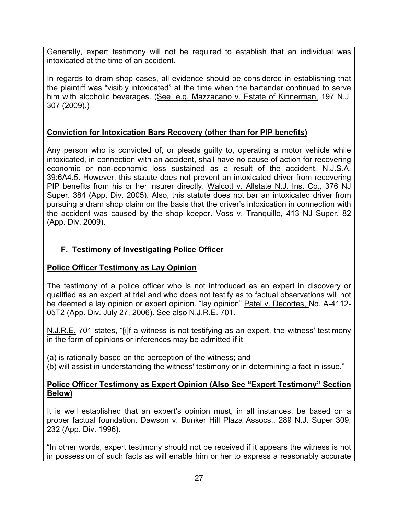Generally, expert testimony will not be required to establish that an individual was intoxicated at the time of an accident.

In regards to dram shop cases, all evidence should be considered in establishing that the plaintiff was "visibly intoxicated" at the time when the bartender continued to serve him with alcoholic beverages. (See, e.g. Mazzacano v. Estate of Kinnerman, 197 N.J. 307 (2009).)

## **Conviction for Intoxication Bars Recovery (other than for PIP benefits)**

Any person who is convicted of, or pleads guilty to, operating a motor vehicle while intoxicated, in connection with an accident, shall have no cause of action for recovering economic or non-economic loss sustained as a result of the accident. N.J.S.A. 39:6A4.5. However, this statute does not prevent an intoxicated driver from recovering PIP benefits from his or her insurer directly. Walcott v. Allstate N.J. Ins. Co., 376 NJ Super. 384 (App. Div. 2005). Also, this statute does not bar an intoxicated driver from pursuing a dram shop claim on the basis that the driver's intoxication in connection with the accident was caused by the shop keeper. Voss v. Tranquillo, 413 NJ Super. 82 (App. Div. 2009).

## **F. Testimony of Investigating Police Officer**

## **Police Officer Testimony as Lay Opinion**

The testimony of a police officer who is not introduced as an expert in discovery or qualified as an expert at trial and who does not testify as to factual observations will not be deemed a lay opinion or expert opinion. "lay opinion" Patel v. Decortes, No. A-4112-05T2 (App. Div. July 27, 2006). See also N.J.R.E. 701.

N.J.R.E. 701 states, "[i]f a witness is not testifying as an expert, the witness' testimony in the form of opinions or inferences may be admitted if it

(a) is rationally based on the perception of the witness; and

(b) will assist in understanding the witness' testimony or in determining a fact in issue."

#### **Police Officer Testimony as Expert Opinion (Also See "Expert Testimony" Section Below)**

It is well established that an expert's opinion must, in all instances, be based on a proper factual foundation. Dawson v. Bunker Hill Plaza Assocs., 289 N.J. Super 309, 232 (App. Div. 1996).

"In other words, expert testimony should not be received if it appears the witness is not in possession of such facts as will enable him or her to express a reasonably accurate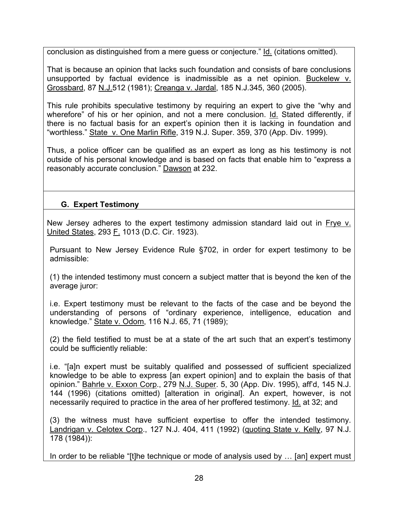conclusion as distinguished from a mere guess or conjecture." Id. (citations omitted).

That is because an opinion that lacks such foundation and consists of bare conclusions unsupported by factual evidence is inadmissible as a net opinion. Buckelew v. Grossbard, 87 N.J.512 (1981); Creanga v. Jardal, 185 N.J.345, 360 (2005).

This rule prohibits speculative testimony by requiring an expert to give the "why and wherefore" of his or her opinion, and not a mere conclusion. Id. Stated differently, if there is no factual basis for an expert's opinion then it is lacking in foundation and "worthless." State v. One Marlin Rifle, 319 N.J. Super. 359, 370 (App. Div. 1999).

Thus, a police officer can be qualified as an expert as long as his testimony is not outside of his personal knowledge and is based on facts that enable him to "express a reasonably accurate conclusion." Dawson at 232.

## **G. Expert Testimony**

New Jersey adheres to the expert testimony admission standard laid out in Frye v. United States, 293 F. 1013 (D.C. Cir. 1923).

Pursuant to New Jersey Evidence Rule §702, in order for expert testimony to be admissible:

(1) the intended testimony must concern a subject matter that is beyond the ken of the average juror:

i.e. Expert testimony must be relevant to the facts of the case and be beyond the understanding of persons of "ordinary experience, intelligence, education and knowledge." State v. Odom, 116 N.J. 65, 71 (1989);

(2) the field testified to must be at a state of the art such that an expert's testimony could be sufficiently reliable:

i.e. "[a]n expert must be suitably qualified and possessed of sufficient specialized knowledge to be able to express [an expert opinion] and to explain the basis of that opinion." Bahrle v. Exxon Corp., 279 N.J. Super. 5, 30 (App. Div. 1995), aff'd, 145 N.J. 144 (1996) (citations omitted) [alteration in original]. An expert, however, is not necessarily required to practice in the area of her proffered testimony. Id. at 32; and

(3) the witness must have sufficient expertise to offer the intended testimony. Landrigan v. Celotex Corp., 127 N.J. 404, 411 (1992) (quoting State v. Kelly, 97 N.J. 178 (1984)):

In order to be reliable "[t]he technique or mode of analysis used by ... [an] expert must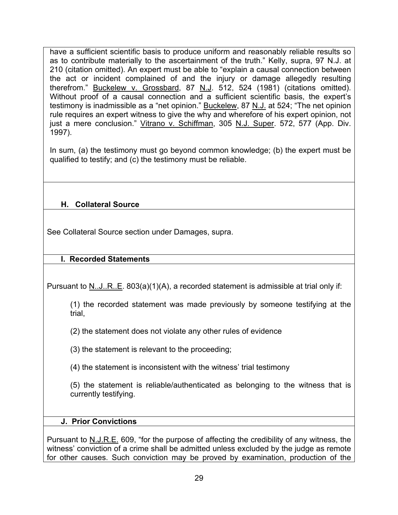have a sufficient scientific basis to produce uniform and reasonably reliable results so as to contribute materially to the ascertainment of the truth." Kelly, supra, 97 N.J. at 210 (citation omitted). An expert must be able to "explain a causal connection between the act or incident complained of and the injury or damage allegedly resulting therefrom." Buckelew v. Grossbard, 87 N.J. 512, 524 (1981) (citations omitted). Without proof of a causal connection and a sufficient scientific basis, the expert's testimony is inadmissible as a "net opinion." Buckelew, 87 N.J. at 524; "The net opinion rule requires an expert witness to give the why and wherefore of his expert opinion, not just a mere conclusion." Vitrano v. Schiffman, 305 N.J. Super. 572, 577 (App. Div. 1997).

In sum, (a) the testimony must go beyond common knowledge; (b) the expert must be qualified to testify; and (c) the testimony must be reliable.

# **H. Collateral Source**

See Collateral Source section under Damages, supra.

## **I. Recorded Statements**

Pursuant to N..J..R..E. 803(a)(1)(A), a recorded statement is admissible at trial only if:

(1) the recorded statement was made previously by someone testifying at the trial,

(2) the statement does not violate any other rules of evidence

(3) the statement is relevant to the proceeding;

(4) the statement is inconsistent with the witness' trial testimony

(5) the statement is reliable/authenticated as belonging to the witness that is currently testifying.

#### **J. Prior Convictions**

Pursuant to N.J.R.E. 609, "for the purpose of affecting the credibility of any witness, the witness' conviction of a crime shall be admitted unless excluded by the judge as remote for other causes. Such conviction may be proved by examination, production of the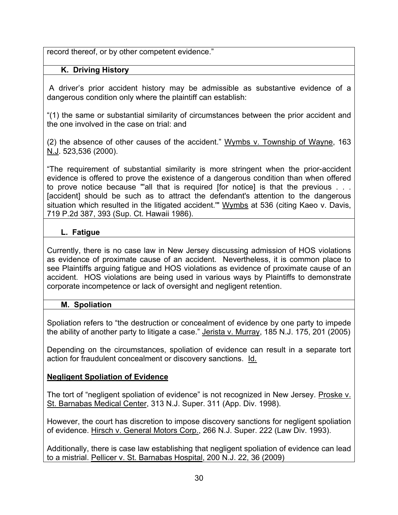record thereof, or by other competent evidence."

## **K. Driving History**

 A driver's prior accident history may be admissible as substantive evidence of a dangerous condition only where the plaintiff can establish:

"(1) the same or substantial similarity of circumstances between the prior accident and the one involved in the case on trial: and

(2) the absence of other causes of the accident." Wymbs v. Township of Wayne, 163 N.J. 523,536 (2000).

"The requirement of substantial similarity is more stringent when the prior-accident evidence is offered to prove the existence of a dangerous condition than when offered to prove notice because "'all that is required [for notice] is that the previous . . . [accident] should be such as to attract the defendant's attention to the dangerous situation which resulted in the litigated accident." Wymbs at 536 (citing Kaeo v. Davis, 719 P.2d 387, 393 (Sup. Ct. Hawaii 1986).

## **L. Fatigue**

Currently, there is no case law in New Jersey discussing admission of HOS violations as evidence of proximate cause of an accident. Nevertheless, it is common place to see Plaintiffs arguing fatigue and HOS violations as evidence of proximate cause of an accident. HOS violations are being used in various ways by Plaintiffs to demonstrate corporate incompetence or lack of oversight and negligent retention.

## **M. Spoliation**

Spoliation refers to "the destruction or concealment of evidence by one party to impede the ability of another party to litigate a case." Jerista v. Murray, 185 N.J. 175, 201 (2005)

Depending on the circumstances, spoliation of evidence can result in a separate tort action for fraudulent concealment or discovery sanctions. Id.

## **Negligent Spoliation of Evidence**

The tort of "negligent spoliation of evidence" is not recognized in New Jersey. Proske v. St. Barnabas Medical Center, 313 N.J. Super. 311 (App. Div. 1998).

However, the court has discretion to impose discovery sanctions for negligent spoliation of evidence. Hirsch v. General Motors Corp., 266 N.J. Super. 222 (Law Div. 1993).

Additionally, there is case law establishing that negligent spoliation of evidence can lead to a mistrial. Pellicer v. St. Barnabas Hospital, 200 N.J. 22, 36 (2009)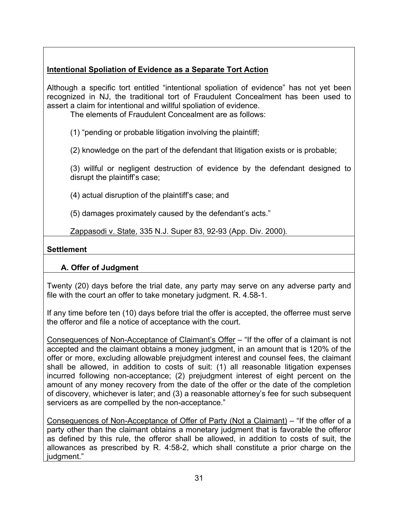# **Intentional Spoliation of Evidence as a Separate Tort Action**

Although a specific tort entitled "intentional spoliation of evidence" has not yet been recognized in NJ, the traditional tort of Fraudulent Concealment has been used to assert a claim for intentional and willful spoliation of evidence.

The elements of Fraudulent Concealment are as follows:

(1) "pending or probable litigation involving the plaintiff;

(2) knowledge on the part of the defendant that litigation exists or is probable;

(3) willful or negligent destruction of evidence by the defendant designed to disrupt the plaintiff's case;

(4) actual disruption of the plaintiff's case; and

(5) damages proximately caused by the defendant's acts."

Zappasodi v. State, 335 N.J. Super 83, 92-93 (App. Div. 2000).

## **Settlement**

# **A. Offer of Judgment**

Twenty (20) days before the trial date, any party may serve on any adverse party and file with the court an offer to take monetary judgment. R. 4.58-1.

If any time before ten (10) days before trial the offer is accepted, the offerree must serve the offeror and file a notice of acceptance with the court.

Consequences of Non-Acceptance of Claimant's Offer – "If the offer of a claimant is not accepted and the claimant obtains a money judgment, in an amount that is 120% of the offer or more, excluding allowable prejudgment interest and counsel fees, the claimant shall be allowed, in addition to costs of suit: (1) all reasonable litigation expenses incurred following non-acceptance; (2) prejudgment interest of eight percent on the amount of any money recovery from the date of the offer or the date of the completion of discovery, whichever is later; and (3) a reasonable attorney's fee for such subsequent servicers as are compelled by the non-acceptance."

Consequences of Non-Acceptance of Offer of Party (Not a Claimant) – "If the offer of a party other than the claimant obtains a monetary judgment that is favorable the offeror as defined by this rule, the offeror shall be allowed, in addition to costs of suit, the allowances as prescribed by R. 4:58-2, which shall constitute a prior charge on the judgment."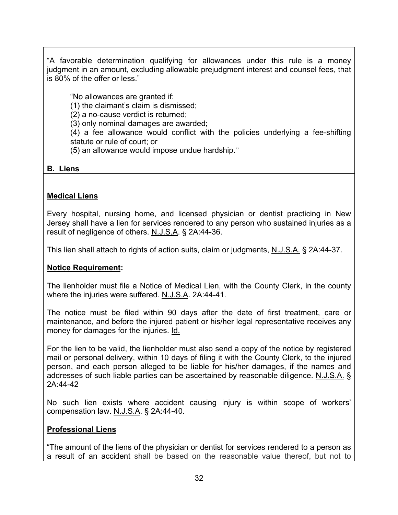"A favorable determination qualifying for allowances under this rule is a money judgment in an amount, excluding allowable prejudgment interest and counsel fees, that is 80% of the offer or less."

"No allowances are granted if:

(1) the claimant's claim is dismissed;

(2) a no-cause verdict is returned;

(3) only nominal damages are awarded;

(4) a fee allowance would conflict with the policies underlying a fee-shifting statute or rule of court; or

(5) an allowance would impose undue hardship."

## **B. Liens**

# **Medical Liens**

Every hospital, nursing home, and licensed physician or dentist practicing in New Jersey shall have a lien for services rendered to any person who sustained injuries as a result of negligence of others. N.J.S.A. § 2A:44-36.

This lien shall attach to rights of action suits, claim or judgments, N.J.S.A. § 2A:44-37.

# **Notice Requirement:**

The lienholder must file a Notice of Medical Lien, with the County Clerk, in the county where the injuries were suffered. N.J.S.A. 2A:44-41.

The notice must be filed within 90 days after the date of first treatment, care or maintenance, and before the injured patient or his/her legal representative receives any money for damages for the injuries. Id.

For the lien to be valid, the lienholder must also send a copy of the notice by registered mail or personal delivery, within 10 days of filing it with the County Clerk, to the injured person, and each person alleged to be liable for his/her damages, if the names and addresses of such liable parties can be ascertained by reasonable diligence. N.J.S.A. § 2A:44-42

No such lien exists where accident causing injury is within scope of workers' compensation law. N.J.S.A. § 2A:44-40.

## **Professional Liens**

"The amount of the liens of the physician or dentist for services rendered to a person as a result of an accident shall be based on the reasonable value thereof, but not to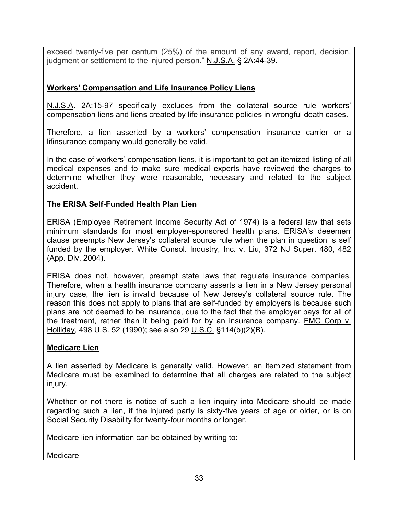exceed twenty-five per centum (25%) of the amount of any award, report, decision, judgment or settlement to the injured person." N.J.S.A. § 2A:44-39.

## **Workers' Compensation and Life Insurance Policy Liens**

N.J.S.A. 2A:15-97 specifically excludes from the collateral source rule workers' compensation liens and liens created by life insurance policies in wrongful death cases.

Therefore, a lien asserted by a workers' compensation insurance carrier or a lifinsurance company would generally be valid.

In the case of workers' compensation liens, it is important to get an itemized listing of all medical expenses and to make sure medical experts have reviewed the charges to determine whether they were reasonable, necessary and related to the subject accident.

## **The ERISA Self-Funded Health Plan Lien**

ERISA (Employee Retirement Income Security Act of 1974) is a federal law that sets minimum standards for most employer-sponsored health plans. ERISA's deeemerr clause preempts New Jersey's collateral source rule when the plan in question is self funded by the employer. White Consol. Industry, Inc. v. Liu, 372 NJ Super. 480, 482 (App. Div. 2004).

ERISA does not, however, preempt state laws that regulate insurance companies. Therefore, when a health insurance company asserts a lien in a New Jersey personal injury case, the lien is invalid because of New Jersey's collateral source rule. The reason this does not apply to plans that are self-funded by employers is because such plans are not deemed to be insurance, due to the fact that the employer pays for all of the treatment, rather than it being paid for by an insurance company. FMC Corp v. Holliday, 498 U.S. 52 (1990); see also 29 U.S.C. §114(b)(2)(B).

## **Medicare Lien**

A lien asserted by Medicare is generally valid. However, an itemized statement from Medicare must be examined to determine that all charges are related to the subject injury.

Whether or not there is notice of such a lien inquiry into Medicare should be made regarding such a lien, if the injured party is sixty-five years of age or older, or is on Social Security Disability for twenty-four months or longer.

Medicare lien information can be obtained by writing to:

Medicare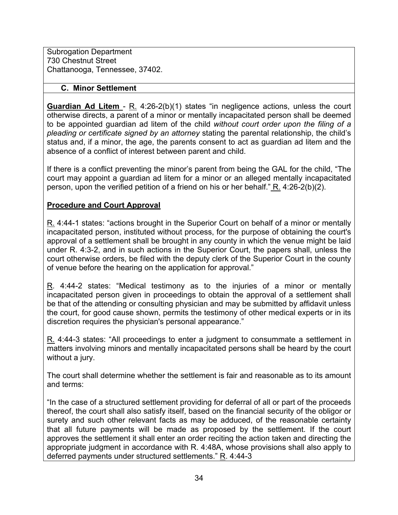Subrogation Department 730 Chestnut Street Chattanooga, Tennessee, 37402.

#### **C. Minor Settlement**

**Guardian Ad Litem** - R. 4:26-2(b)(1) states "in negligence actions, unless the court otherwise directs, a parent of a minor or mentally incapacitated person shall be deemed to be appointed guardian ad litem of the child *without court order upon the filing of a pleading or certificate signed by an attorney* stating the parental relationship, the child's status and, if a minor, the age, the parents consent to act as guardian ad litem and the absence of a conflict of interest between parent and child.

If there is a conflict preventing the minor's parent from being the GAL for the child, "The court may appoint a guardian ad litem for a minor or an alleged mentally incapacitated person, upon the verified petition of a friend on his or her behalf." R. 4:26-2(b)(2).

## **Procedure and Court Approval**

R. 4:44-1 states: "actions brought in the Superior Court on behalf of a minor or mentally incapacitated person, instituted without process, for the purpose of obtaining the court's approval of a settlement shall be brought in any county in which the venue might be laid under R. 4:3-2, and in such actions in the Superior Court, the papers shall, unless the court otherwise orders, be filed with the deputy clerk of the Superior Court in the county of venue before the hearing on the application for approval."

R. 4:44-2 states: "Medical testimony as to the injuries of a minor or mentally incapacitated person given in proceedings to obtain the approval of a settlement shall be that of the attending or consulting physician and may be submitted by affidavit unless the court, for good cause shown, permits the testimony of other medical experts or in its discretion requires the physician's personal appearance."

R. 4:44-3 states: "All proceedings to enter a judgment to consummate a settlement in matters involving minors and mentally incapacitated persons shall be heard by the court without a jury.

The court shall determine whether the settlement is fair and reasonable as to its amount and terms:

"In the case of a structured settlement providing for deferral of all or part of the proceeds thereof, the court shall also satisfy itself, based on the financial security of the obligor or surety and such other relevant facts as may be adduced, of the reasonable certainty that all future payments will be made as proposed by the settlement. If the court approves the settlement it shall enter an order reciting the action taken and directing the appropriate judgment in accordance with R. 4:48A, whose provisions shall also apply to deferred payments under structured settlements." R. 4:44-3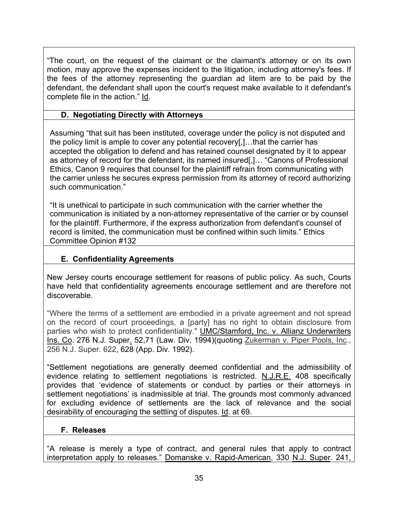"The court, on the request of the claimant or the claimant's attorney or on its own motion, may approve the expenses incident to the litigation, including attorney's fees. If the fees of the attorney representing the guardian ad litem are to be paid by the defendant, the defendant shall upon the court's request make available to it defendant's complete file in the action." Id.

## **D. Negotiating Directly with Attorneys**

Assuming "that suit has been instituted, coverage under the policy is not disputed and the policy limit is ample to cover any potential recovery[,]…that the carrier has accepted the obligation to defend and has retained counsel designated by it to appear as attorney of record for the defendant, its named insured[,]… "Canons of Professional Ethics, Canon 9 requires that counsel for the plaintiff refrain from communicating with the carrier unless he secures express permission from its attorney of record authorizing such communication."

"It is unethical to participate in such communication with the carrier whether the communication is initiated by a non-attorney representative of the carrier or by counsel for the plaintiff. Furthermore, if the express authorization from defendant's counsel of record is limited, the communication must be confined within such limits." Ethics Committee Opinion #132

# **E. Confidentiality Agreements**

New Jersey courts encourage settlement for reasons of public policy. As such, Courts have held that confidentiality agreements encourage settlement and are therefore not discoverable.

"Where the terms of a settlement are embodied in a private agreement and not spread on the record of court proceedings, a [party] has no right to obtain disclosure from parties who wish to protect confidentiality." **UMC/Stamford, Inc. v. Allianz Underwriters** Ins. Co. 276 N.J. Super. 52,71 (Law. Div. 1994)(quoting Zukerman v. Piper Pools, Inc., 256 N.J. Super. 622, 628 (App. Div. 1992).

"Settlement negotiations are generally deemed confidential and the admissibility of evidence relating to settlement negotiations is restricted. N.J.R.E. 408 specifically provides that 'evidence of statements or conduct by parties or their attorneys in settlement negotiations' is inadmissible at trial. The grounds most commonly advanced for excluding evidence of settlements are the lack of relevance and the social desirability of encouraging the settling of disputes. Id. at 69.

## **F. Releases**

"A release is merely a type of contract, and general rules that apply to contract interpretation apply to releases." Domanske v. Rapid-American, 330 N.J. Super. 241,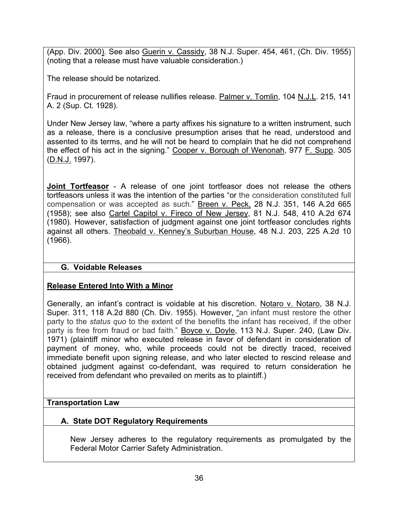(App. Div. 2000). See also Guerin v. Cassidy, 38 N.J. Super. 454, 461, (Ch. Div. 1955) (noting that a release must have valuable consideration.)

The release should be notarized.

Fraud in procurement of release nullifies release. Palmer v. Tomlin, 104 N.J.L. 215, 141 A. 2 (Sup. Ct. 1928).

Under New Jersey law, "where a party affixes his signature to a written instrument, such as a release, there is a conclusive presumption arises that he read, understood and assented to its terms, and he will not be heard to complain that he did not comprehend the effect of his act in the signing." Cooper v. Borough of Wenonah, 977 F. Supp. 305 (D.N.J. 1997).

**Joint Tortfeasor** - A release of one joint tortfeasor does not release the others tortfeasors unless it was the intention of the parties "or the consideration constituted full compensation or was accepted as such." Breen v. Peck, 28 N.J. 351, 146 A.2d 665 (1958); see also Cartel Capitol v. Fireco of New Jersey, 81 N.J. 548, 410 A.2d 674 (1980). However, satisfaction of judgment against one joint tortfeasor concludes rights against all others. Theobald v. Kenney's Suburban House, 48 N.J. 203, 225 A.2d 10 (1966).

# **G. Voidable Releases**

# **Release Entered Into With a Minor**

Generally, an infant's contract is voidable at his discretion. Notaro v. Notaro, 38 N.J. Super. 311, 118 A.2d 880 (Ch. Div. 1955). However, "an infant must restore the other party to the *status quo* to the extent of the benefits the infant has received, if the other party is free from fraud or bad faith." Boyce v. Doyle, 113 N.J. Super. 240, (Law Div. 1971) (plaintiff minor who executed release in favor of defendant in consideration of payment of money, who, while proceeds could not be directly traced, received immediate benefit upon signing release, and who later elected to rescind release and obtained judgment against co-defendant, was required to return consideration he received from defendant who prevailed on merits as to plaintiff.)

## **Transportation Law**

## **A. State DOT Regulatory Requirements**

New Jersey adheres to the regulatory requirements as promulgated by the Federal Motor Carrier Safety Administration.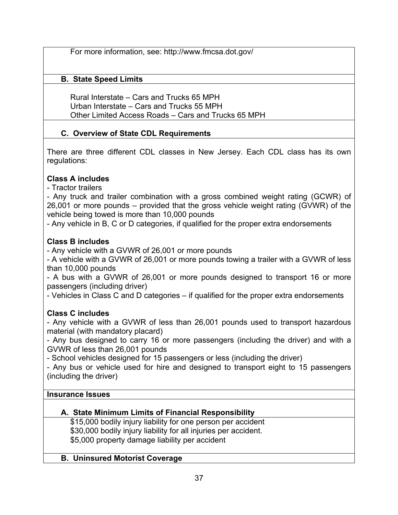For more information, see: http://www.fmcsa.dot.gov/

# **B. State Speed Limits**

Rural Interstate – Cars and Trucks 65 MPH Urban Interstate – Cars and Trucks 55 MPH Other Limited Access Roads – Cars and Trucks 65 MPH

# **C. Overview of State CDL Requirements**

There are three different CDL classes in New Jersey. Each CDL class has its own regulations:

# **Class A includes**

- Tractor trailers

- Any truck and trailer combination with a gross combined weight rating (GCWR) of 26,001 or more pounds – provided that the gross vehicle weight rating (GVWR) of the vehicle being towed is more than 10,000 pounds

- Any vehicle in B, C or D categories, if qualified for the proper extra endorsements

# **Class B includes**

- Any vehicle with a GVWR of 26,001 or more pounds

- A vehicle with a GVWR of 26,001 or more pounds towing a trailer with a GVWR of less than 10,000 pounds

- A bus with a GVWR of 26,001 or more pounds designed to transport 16 or more passengers (including driver)

- Vehicles in Class C and D categories – if qualified for the proper extra endorsements

# **Class C includes**

- Any vehicle with a GVWR of less than 26,001 pounds used to transport hazardous material (with mandatory placard)

- Any bus designed to carry 16 or more passengers (including the driver) and with a GVWR of less than 26,001 pounds

- School vehicles designed for 15 passengers or less (including the driver)

- Any bus or vehicle used for hire and designed to transport eight to 15 passengers (including the driver)

## **Insurance Issues**

# **A. State Minimum Limits of Financial Responsibility**

\$15,000 bodily injury liability for one person per accident \$30,000 bodily injury liability for all injuries per accident. \$5,000 property damage liability per accident

## **B. Uninsured Motorist Coverage**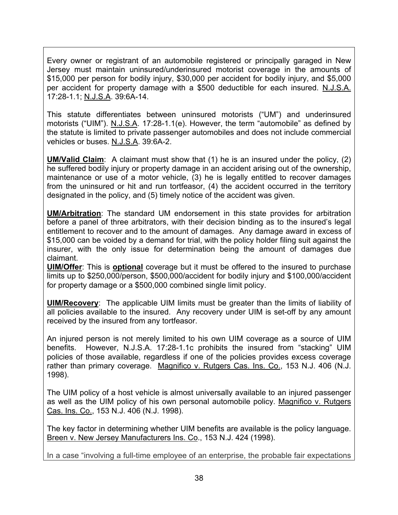Every owner or registrant of an automobile registered or principally garaged in New Jersey must maintain uninsured/underinsured motorist coverage in the amounts of \$15,000 per person for bodily injury, \$30,000 per accident for bodily injury, and \$5,000 per accident for property damage with a \$500 deductible for each insured. N.J.S.A. 17:28-1.1; N.J.S.A. 39:6A-14.

This statute differentiates between uninsured motorists ("UM") and underinsured motorists ("UIM"). N.J.S.A. 17:28-1.1(e). However, the term "automobile" as defined by the statute is limited to private passenger automobiles and does not include commercial vehicles or buses. N.J.S.A. 39:6A-2.

**UM/Valid Claim**: A claimant must show that (1) he is an insured under the policy, (2) he suffered bodily injury or property damage in an accident arising out of the ownership, maintenance or use of a motor vehicle, (3) he is legally entitled to recover damages from the uninsured or hit and run tortfeasor, (4) the accident occurred in the territory designated in the policy, and (5) timely notice of the accident was given.

**UM/Arbitration**: The standard UM endorsement in this state provides for arbitration before a panel of three arbitrators, with their decision binding as to the insured's legal entitlement to recover and to the amount of damages. Any damage award in excess of \$15,000 can be voided by a demand for trial, with the policy holder filing suit against the insurer, with the only issue for determination being the amount of damages due claimant.

**UIM/Offer**: This is **optional** coverage but it must be offered to the insured to purchase limits up to \$250,000/person, \$500,000/accident for bodily injury and \$100,000/accident for property damage or a \$500,000 combined single limit policy.

**UIM/Recovery**: The applicable UIM limits must be greater than the limits of liability of all policies available to the insured. Any recovery under UIM is set-off by any amount received by the insured from any tortfeasor.

An injured person is not merely limited to his own UIM coverage as a source of UIM benefits. However, N.J.S.A. 17:28-1.1c prohibits the insured from "stacking" UIM policies of those available, regardless if one of the policies provides excess coverage rather than primary coverage. Magnifico v. Rutgers Cas. Ins. Co., 153 N.J. 406 (N.J. 1998).

The UIM policy of a host vehicle is almost universally available to an injured passenger as well as the UIM policy of his own personal automobile policy. Magnifico v. Rutgers Cas. Ins. Co., 153 N.J. 406 (N.J. 1998).

The key factor in determining whether UIM benefits are available is the policy language. Breen v. New Jersey Manufacturers Ins. Co., 153 N.J. 424 (1998).

In a case "involving a full-time employee of an enterprise, the probable fair expectations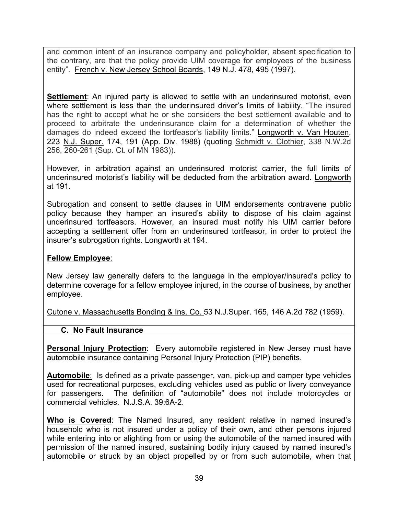and common intent of an insurance company and policyholder, absent specification to the contrary, are that the policy provide UIM coverage for employees of the business entity". French v. New Jersey School Boards, 149 N.J. 478, 495 (1997).

**Settlement**: An injured party is allowed to settle with an underinsured motorist, even where settlement is less than the underinsured driver's limits of liability. "The insured has the right to accept what he or she considers the best settlement available and to proceed to arbitrate the underinsurance claim for a determination of whether the damages do indeed exceed the tortfeasor's liability limits." Longworth v. Van Houten, 223 N.J. Super. 174, 191 (App. Div. 1988) (quoting Schmidt v. Clothier, 338 N.W.2d 256, 260-261 (Sup. Ct. of MN 1983)).

However, in arbitration against an underinsured motorist carrier, the full limits of underinsured motorist's liability will be deducted from the arbitration award. Longworth at 191.

Subrogation and consent to settle clauses in UIM endorsements contravene public policy because they hamper an insured's ability to dispose of his claim against underinsured tortfeasors. However, an insured must notify his UIM carrier before accepting a settlement offer from an underinsured tortfeasor, in order to protect the insurer's subrogation rights. Longworth at 194.

### **Fellow Employee**:

New Jersey law generally defers to the language in the employer/insured's policy to determine coverage for a fellow employee injured, in the course of business, by another employee.

Cutone v. Massachusetts Bonding & Ins. Co. 53 N.J.Super. 165, 146 A.2d 782 (1959).

## **C. No Fault Insurance**

**Personal Injury Protection**: Every automobile registered in New Jersey must have automobile insurance containing Personal Injury Protection (PIP) benefits.

**Automobile**: Is defined as a private passenger, van, pick-up and camper type vehicles used for recreational purposes, excluding vehicles used as public or livery conveyance for passengers. The definition of "automobile" does not include motorcycles or commercial vehicles. N.J.S.A. 39:6A-2.

**Who is Covered**: The Named Insured, any resident relative in named insured's household who is not insured under a policy of their own, and other persons injured while entering into or alighting from or using the automobile of the named insured with permission of the named insured, sustaining bodily injury caused by named insured's automobile or struck by an object propelled by or from such automobile, when that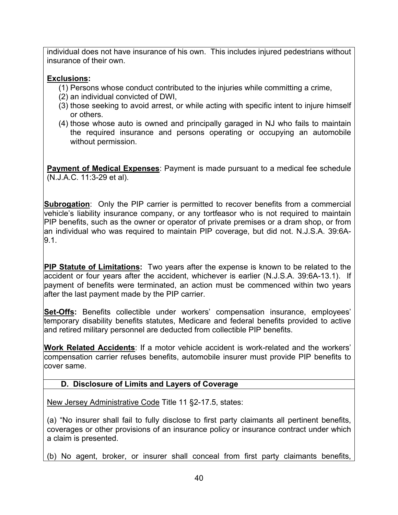individual does not have insurance of his own. This includes injured pedestrians without insurance of their own.

## **Exclusions:**

- (1) Persons whose conduct contributed to the injuries while committing a crime,
- (2) an individual convicted of DWI,
- (3) those seeking to avoid arrest, or while acting with specific intent to injure himself or others.
- (4) those whose auto is owned and principally garaged in NJ who fails to maintain the required insurance and persons operating or occupying an automobile without permission.

**Payment of Medical Expenses**: Payment is made pursuant to a medical fee schedule (N.J.A.C. 11:3-29 et al).

**Subrogation**: Only the PIP carrier is permitted to recover benefits from a commercial vehicle's liability insurance company, or any tortfeasor who is not required to maintain PIP benefits, such as the owner or operator of private premises or a dram shop, or from an individual who was required to maintain PIP coverage, but did not. N.J.S.A. 39:6A-9.1.

**PIP Statute of Limitations:** Two years after the expense is known to be related to the accident or four years after the accident, whichever is earlier (N.J.S.A. 39:6A-13.1). If payment of benefits were terminated, an action must be commenced within two years after the last payment made by the PIP carrier.

**Set-Offs:** Benefits collectible under workers' compensation insurance, employees' temporary disability benefits statutes, Medicare and federal benefits provided to active and retired military personnel are deducted from collectible PIP benefits.

**Work Related Accidents**: If a motor vehicle accident is work-related and the workers' compensation carrier refuses benefits, automobile insurer must provide PIP benefits to cover same.

# **D. Disclosure of Limits and Layers of Coverage**

New Jersey Administrative Code Title 11 §2-17.5, states:

(a) "No insurer shall fail to fully disclose to first party claimants all pertinent benefits, coverages or other provisions of an insurance policy or insurance contract under which a claim is presented.

(b) No agent, broker, or insurer shall conceal from first party claimants benefits,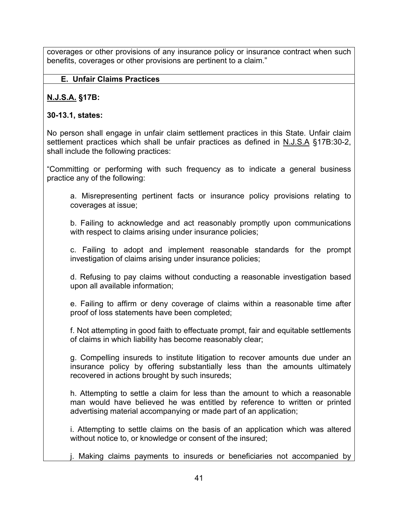coverages or other provisions of any insurance policy or insurance contract when such benefits, coverages or other provisions are pertinent to a claim."

## **E. Unfair Claims Practices**

## **N.J.S.A. §17B:**

## **30-13.1, states:**

No person shall engage in unfair claim settlement practices in this State. Unfair claim settlement practices which shall be unfair practices as defined in N.J.S.A §17B:30-2, shall include the following practices:

"Committing or performing with such frequency as to indicate a general business practice any of the following:

a. Misrepresenting pertinent facts or insurance policy provisions relating to coverages at issue;

b. Failing to acknowledge and act reasonably promptly upon communications with respect to claims arising under insurance policies;

c. Failing to adopt and implement reasonable standards for the prompt investigation of claims arising under insurance policies;

d. Refusing to pay claims without conducting a reasonable investigation based upon all available information;

e. Failing to affirm or deny coverage of claims within a reasonable time after proof of loss statements have been completed;

f. Not attempting in good faith to effectuate prompt, fair and equitable settlements of claims in which liability has become reasonably clear;

g. Compelling insureds to institute litigation to recover amounts due under an insurance policy by offering substantially less than the amounts ultimately recovered in actions brought by such insureds;

h. Attempting to settle a claim for less than the amount to which a reasonable man would have believed he was entitled by reference to written or printed advertising material accompanying or made part of an application;

i. Attempting to settle claims on the basis of an application which was altered without notice to, or knowledge or consent of the insured;

j. Making claims payments to insureds or beneficiaries not accompanied by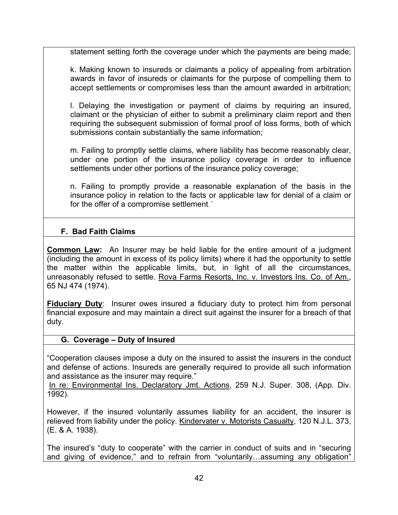statement setting forth the coverage under which the payments are being made;

k. Making known to insureds or claimants a policy of appealing from arbitration awards in favor of insureds or claimants for the purpose of compelling them to accept settlements or compromises less than the amount awarded in arbitration;

l. Delaying the investigation or payment of claims by requiring an insured, claimant or the physician of either to submit a preliminary claim report and then requiring the subsequent submission of formal proof of loss forms, both of which submissions contain substantially the same information;

m. Failing to promptly settle claims, where liability has become reasonably clear, under one portion of the insurance policy coverage in order to influence settlements under other portions of the insurance policy coverage;

n. Failing to promptly provide a reasonable explanation of the basis in the insurance policy in relation to the facts or applicable law for denial of a claim or for the offer of a compromise settlement."

## **F. Bad Faith Claims**

**Common Law:** An Insurer may be held liable for the entire amount of a judgment (including the amount in excess of its policy limits) where it had the opportunity to settle the matter within the applicable limits, but, in light of all the circumstances, unreasonably refused to settle. Rova Farms Resorts, Inc. v. Investors Ins. Co. of Am., 65 NJ 474 (1974).

**Fiduciary Duty:** Insurer owes insured a fiduciary duty to protect him from personal financial exposure and may maintain a direct suit against the insurer for a breach of that duty.

## **G. Coverage – Duty of Insured**

"Cooperation clauses impose a duty on the insured to assist the insurers in the conduct and defense of actions. Insureds are generally required to provide all such information and assistance as the insurer may require."

In re: Environmental Ins. Declaratory Jmt. Actions, 259 N.J. Super. 308, (App. Div. 1992).

However, if the insured voluntarily assumes liability for an accident, the insurer is relieved from liability under the policy. Kindervater v. Motorists Casualty, 120 N.J.L. 373, (E. & A. 1938).

The insured's "duty to cooperate" with the carrier in conduct of suits and in "securing and giving of evidence," and to refrain from "voluntarily…assuming any obligation"